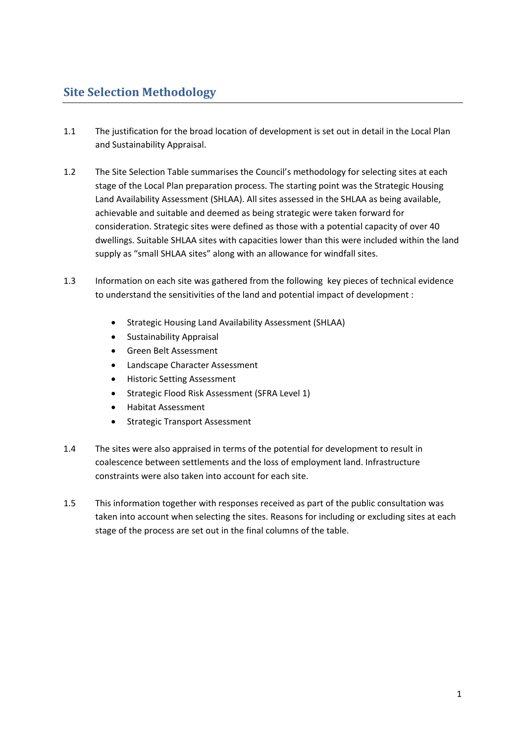## **Site Selection Methodology**

- 1.1 The justification for the broad location of development is set out in detail in the Local Plan and Sustainability Appraisal.
- 1.2 The Site Selection Table summarises the Council's methodology for selecting sites at each stage of the Local Plan preparation process. The starting point was the Strategic Housing Land Availability Assessment (SHLAA). All sites assessed in the SHLAA as being available, achievable and suitable and deemed as being strategic were taken forward for consideration. Strategic sites were defined as those with a potential capacity of over 40 dwellings. Suitable SHLAA sites with capacities lower than this were included within the land supply as "small SHLAA sites" along with an allowance for windfall sites.
- 1.3 Information on each site was gathered from the following key pieces of technical evidence to understand the sensitivities of the land and potential impact of development :
	- Strategic Housing Land Availability Assessment (SHLAA)
	- Sustainability Appraisal
	- Green Belt Assessment
	- Landscape Character Assessment
	- Historic Setting Assessment
	- Strategic Flood Risk Assessment (SFRA Level 1)
	- Habitat Assessment
	- Strategic Transport Assessment
- 1.4 The sites were also appraised in terms of the potential for development to result in coalescence between settlements and the loss of employment land. Infrastructure constraints were also taken into account for each site.
- 1.5 This information together with responses received as part of the public consultation was taken into account when selecting the sites. Reasons for including or excluding sites at each stage of the process are set out in the final columns of the table.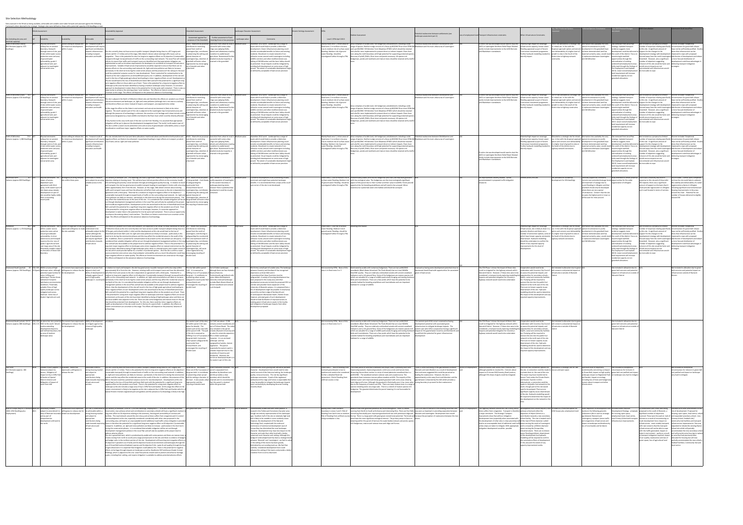|                                                                                                                | framework where deemed to be strategic. Strategic sites were defined as those with a potential capacity of 40 dwellings or ove                                                                                                                                                                                                                                                                                                                         |                                                                                                                                                                        |                                                                                                                                                                                                                                                                                                                                                                                                                                                                                                                                                                                                                                                                                                                                                                                                                                                                                                                                                                                                                                                                                                                                                                                                                                                                                                                                                                                                                                                                                                                                                                                                                                                                                                                                                                                                                                                                                                                                                                                                                                                                                                                                                                                                                                                                                                                                                                                                              |                                                                                                                                                                                                                                                                                                                                                                                                                                                                                                                                                                                                                                                                                                                                                                                                                                                                                                      |                                                                                                                                                                                                                                                                                                                                                                                                                                                                                                                                                                                                                                                                                                                                                                                                                                                                                                                                                                                                                 |                                     |                                                                                                                                                                                                                         |                                                                                                                                                                                                                                                                                                                                                                                                                                                                                                                                                                                                                                                                                                                                                                                                                                                                                                                                        |                                                                                                                                                                                                                                                                                                                                                                                                                                                       |                                                                                                                                                                                                                                                                                                                                                                                                                                                                                                                                                                                                                      |                                                                                                                                                                                                                                                                                                                                                                                                                                                                                                                                                                                                                                                                    |                                                                                                                                                                                                                                                                                       |                                                                                                                                                                                                                                                                                                                                                                                                                                                      |                                                                                                                                                                                                                                                                                                                                                                                                                                                                                                                                | mission Draft Local Plan                                                                                                                                                                                                                                                                                                                                                                                                                                                                                                                                                                                                                                                                                                                                                                                                                                                                                                                                                                                                                                                                                                                                                                                                                                                                                                             |
|----------------------------------------------------------------------------------------------------------------|--------------------------------------------------------------------------------------------------------------------------------------------------------------------------------------------------------------------------------------------------------------------------------------------------------------------------------------------------------------------------------------------------------------------------------------------------------|------------------------------------------------------------------------------------------------------------------------------------------------------------------------|--------------------------------------------------------------------------------------------------------------------------------------------------------------------------------------------------------------------------------------------------------------------------------------------------------------------------------------------------------------------------------------------------------------------------------------------------------------------------------------------------------------------------------------------------------------------------------------------------------------------------------------------------------------------------------------------------------------------------------------------------------------------------------------------------------------------------------------------------------------------------------------------------------------------------------------------------------------------------------------------------------------------------------------------------------------------------------------------------------------------------------------------------------------------------------------------------------------------------------------------------------------------------------------------------------------------------------------------------------------------------------------------------------------------------------------------------------------------------------------------------------------------------------------------------------------------------------------------------------------------------------------------------------------------------------------------------------------------------------------------------------------------------------------------------------------------------------------------------------------------------------------------------------------------------------------------------------------------------------------------------------------------------------------------------------------------------------------------------------------------------------------------------------------------------------------------------------------------------------------------------------------------------------------------------------------------------------------------------------------------------------------------------------------|------------------------------------------------------------------------------------------------------------------------------------------------------------------------------------------------------------------------------------------------------------------------------------------------------------------------------------------------------------------------------------------------------------------------------------------------------------------------------------------------------------------------------------------------------------------------------------------------------------------------------------------------------------------------------------------------------------------------------------------------------------------------------------------------------------------------------------------------------------------------------------------------------|-----------------------------------------------------------------------------------------------------------------------------------------------------------------------------------------------------------------------------------------------------------------------------------------------------------------------------------------------------------------------------------------------------------------------------------------------------------------------------------------------------------------------------------------------------------------------------------------------------------------------------------------------------------------------------------------------------------------------------------------------------------------------------------------------------------------------------------------------------------------------------------------------------------------------------------------------------------------------------------------------------------------|-------------------------------------|-------------------------------------------------------------------------------------------------------------------------------------------------------------------------------------------------------------------------|----------------------------------------------------------------------------------------------------------------------------------------------------------------------------------------------------------------------------------------------------------------------------------------------------------------------------------------------------------------------------------------------------------------------------------------------------------------------------------------------------------------------------------------------------------------------------------------------------------------------------------------------------------------------------------------------------------------------------------------------------------------------------------------------------------------------------------------------------------------------------------------------------------------------------------------|-------------------------------------------------------------------------------------------------------------------------------------------------------------------------------------------------------------------------------------------------------------------------------------------------------------------------------------------------------------------------------------------------------------------------------------------------------|----------------------------------------------------------------------------------------------------------------------------------------------------------------------------------------------------------------------------------------------------------------------------------------------------------------------------------------------------------------------------------------------------------------------------------------------------------------------------------------------------------------------------------------------------------------------------------------------------------------------|--------------------------------------------------------------------------------------------------------------------------------------------------------------------------------------------------------------------------------------------------------------------------------------------------------------------------------------------------------------------------------------------------------------------------------------------------------------------------------------------------------------------------------------------------------------------------------------------------------------------------------------------------------------------|---------------------------------------------------------------------------------------------------------------------------------------------------------------------------------------------------------------------------------------------------------------------------------------|------------------------------------------------------------------------------------------------------------------------------------------------------------------------------------------------------------------------------------------------------------------------------------------------------------------------------------------------------------------------------------------------------------------------------------------------------|--------------------------------------------------------------------------------------------------------------------------------------------------------------------------------------------------------------------------------------------------------------------------------------------------------------------------------------------------------------------------------------------------------------------------------------------------------------------------------------------------------------------------------|--------------------------------------------------------------------------------------------------------------------------------------------------------------------------------------------------------------------------------------------------------------------------------------------------------------------------------------------------------------------------------------------------------------------------------------------------------------------------------------------------------------------------------------------------------------------------------------------------------------------------------------------------------------------------------------------------------------------------------------------------------------------------------------------------------------------------------------------------------------------------------------------------------------------------------------------------------------------------------------------------------------------------------------------------------------------------------------------------------------------------------------------------------------------------------------------------------------------------------------------------------------------------------------------------------------------------------------|
|                                                                                                                | <b>SHLAA Assessment</b>                                                                                                                                                                                                                                                                                                                                                                                                                                |                                                                                                                                                                        | <b>Sustainability Appraisal</b>                                                                                                                                                                                                                                                                                                                                                                                                                                                                                                                                                                                                                                                                                                                                                                                                                                                                                                                                                                                                                                                                                                                                                                                                                                                                                                                                                                                                                                                                                                                                                                                                                                                                                                                                                                                                                                                                                                                                                                                                                                                                                                                                                                                                                                                                                                                                                                              | <b>Greenbelt Assessment</b><br>Assessment against five<br>Further assessment of land                                                                                                                                                                                                                                                                                                                                                                                                                                                                                                                                                                                                                                                                                                                                                                                                                 | andscape Character Assessment                                                                                                                                                                                                                                                                                                                                                                                                                                                                                                                                                                                                                                                                                                                                                                                                                                                                                                                                                                                   | <b>Historic Settings Assessment</b> |                                                                                                                                                                                                                         | <b>Habitat Assessment</b>                                                                                                                                                                                                                                                                                                                                                                                                                                                                                                                                                                                                                                                                                                                                                                                                                                                                                                              | otential coalescence between settlements (see<br>landscape assessment part 2)                                                                                                                                                                                                                                                                                                                                                                         | Loss of employment land Transport infrastructure constraints                                                                                                                                                                                                                                                                                                                                                                                                                                                                                                                                                         | Other infrastructure Constraints                                                                                                                                                                                                                                                                                                                                                                                                                                                                                                                                                                                                                                   |                                                                                                                                                                                                                                                                                       |                                                                                                                                                                                                                                                                                                                                                                                                                                                      |                                                                                                                                                                                                                                                                                                                                                                                                                                                                                                                                |                                                                                                                                                                                                                                                                                                                                                                                                                                                                                                                                                                                                                                                                                                                                                                                                                                                                                                                                                                                                                                                                                                                                                                                                                                                                                                                                      |
| Site (including site area and<br>otential capacity)<br>Vorth of Milverton (West)<br>38.6 Hectares (approx. 670 | hysical constraints -<br>Owner willing to release site<br>railway line on western<br>r mixed use development<br>boundary, footpath<br>through centre of site, pa<br>of site within water source<br>rotection zone and area<br>of ground water<br>vulnerability, grade 2<br>gricultural land, part<br>adjacent to Leamingtor<br>conservation area.                                                                                                      | Achievable<br>Yes - however scale of<br>development will require<br>significant contribution<br>towards infrastructure<br>including transport,<br>education and health | Assessment<br>The site currently does not have access to public transport (despite being close to a GP Surgery and<br>hools (within 1.5 miles) and at this stage, little detail is known about existing traffic issues such as<br>congestion. There is the potential for short to long term negative effects on SA objective 2 (sustainable special character of<br>ansport) through increased levels of traffic on the surrounding road network. The Local Plan will include Leamington Spa, retention of eldetailed study but majority is<br>oolicies to ensure that traffic and transport issues are identified and that appropriate mitigation are<br>mplemented as well as introduce requirements for developers to contribute to transport infrastructure regeneration by encouraging<br>mprovements. Suitable infrastructure improvements would be required to ensure that there are no<br>adverse effects on the surrounding road network. Air, light and noise pollution are likely to increase<br>particularly in the short term during the construction phases and the presence of the railway to the west<br>ould be a potential nuisance source for new development. There is potential for contamination to be<br>present as the site is adjacent to an old landfill and quarry site. In addition, development of the site will<br>result in the loss of high grade agricultural land leading to minor negative effects on soil. Development at<br>his site would lead to the loss of Greenfield and Green Belt Land with the potential for a significant long<br>term negative effect on the prudent use of land. There is the potential for a long term negative effect on<br>andscape as the area has been identified as having a medium landscape value, however, if a sensitive<br>pproach to development is taken there is the potential for it to be quite well contained. There is also an<br>ppportunity to enhance the existing urban/ rural interface. The effects on historic environment are<br>certain at this stage. The effects will depend on the presence/absence of archaeology                                                                                                                                                                                                                                                                                             | ourposes of the Greenbelt<br>meeting three or less purposes<br>VL6A - Meets three purposes Transition from urban to rural is Medium value November 2012 work - Landscape has a range of<br>ontributes to restricting<br>successful with some urban<br>orawl from north of<br>inge uses (playing fields,<br>mington Spa, contributes schools and allotments) creation<br>preserving the setting and transition to arable based<br>culture. Recommend furthe<br>greenbelt will assist urban<br>retained in the greenbelt<br>use of derelict and other<br>urban land                                                                                                                                                                                                                                                                                                                                    | Landscape value<br>Comments<br>issets which could help to provide a distinctive<br>evelopment. Green infrastructure planning could<br>provide considerable benefits to future and existing<br>esidents. Should aim to create network of non<br>ehicular routes around north Leamington including<br>vildlife corridors and other multifunctional uses.<br>etting of Old Milverton and the Avon Valley should<br>e protected. Visual impacts could be mitigated by<br>voiding built development on some areas of high<br>round. The extent of sustainable development might<br>e defined by acceptable infrastructure provision                                                                                                                                                                                                                                                                                                                                                                                  |                                     | Level 1 SFRA April 2013<br>flood zone 2 in northern site area.<br>water flooding- should be                                                                                                                             | Mainly flood zone 1, minor areas of Area comprises of arable land, rich hedgerows and allotments including a wide Potential coalescence between Old Milverton and<br>range of species. Northern edge consists of a linear pLWS/SINC River Avon SP36Li8d Blackdown and the main urban area of Leamington<br>ow to medium risk of surface water  and a pLWS/SINC Hill Wootton Farm Meadows SP36E2 which should be retained.<br>flooding. Medium risk of ground and a buffer zone implemented to prevent direct or indirect impacts. River Avon<br>uns along the north boundary with high potential for supporting protected species.<br>investigated further through a FRA. Resurvey of pLWS /SINCs, River Avon and ponds necessary. All species rich<br>nedgerows, ponds and reed beds and mature trees should be retained with a buffer                                                                                                |                                                                                                                                                                                                                                                                                                                                                                                                                                                       | If entire site was developed would need to dual the Potential high impact on sewerage<br>A452 or Leamington Northern Relief Road. Related<br>works include improvements to the A452 Bericote  <br>and Blackdown roundabouts                                                                                                                                                                                                                                                                                                                                                                                          | frastructure capacity, known sewer<br>flooding appraised as part of Severn<br>rent sewer investment programme.<br>Further hydraulic modelling needed to growth to sites in the South of the<br>dentify impact.                                                                                                                                                                                                                                                                                                                                                                                                                                                     | for mixed use. In line with the<br>listrict due to highway network                                                                                                                                                                                                                    | Entire site allocated as a strategic site Alternative sites available, the very Site removed from Local Plan<br>special circumstances to justify<br>dispersal approach option and concern development in the greenbelt have<br>over deliverability of a higher level of not been demonstrated, land has<br>important amenity value, would result the south of the district. Focus on<br>coalescence between Leamington<br>and Old Milverton          | trategy. Updated transport<br>evidence suggests more<br>development could be delivered to support for the changes to the<br>maximising brownfield<br>pportunities through the<br>ationalisation of existing<br>underutilised employment areas<br>informed through the findings of would ensure impacts are not<br>he Employment Land Update:<br>2013). Lower overall employment be more able to cope<br>and requirement will increase<br>esidential capacity on non<br>greenbelt allocations.                                  | Not included as a proposal so limited<br>Site not included. Exceptional<br>umber of responses relating specifically c<br>cumstances for green belt release<br>o this site. A significant amount of<br>ave not be sufficiently justified. Studies<br>how that infrastructure can be<br>evelopment strategy with development improved to cope with proposed<br>cused away from the north Leamingto<br>ibution of development and indee<br>reenbelt. However, also a significant a more focused distribution of<br>umber of objections suggesting<br>velopment could have advantages ir<br>nclusion of this site would be fairer and delivering transport mitigation<br>ncentrated and infrastructure would                                                                                                                                                                                                                                                                                                                                                                                                                                                                                                                                                                                                                             |
| North of Milverton (East) 34.7<br>Hectares (approx. 610 dwellings)<br>North of Milverton                       | Owner willing to release site  Yes - however scale of<br>hysical constraints -<br>railway line on western<br>r mixed use development<br>oundary, footpath<br>ithin 2 years<br>through centre of site, par<br>of site within water source<br>protection zone and area<br>of ground water<br>vulnerability, grade 2<br>agricultural land, part<br>adjacent to Leamington<br>conservation area.<br>Owner willing to release site<br>hysical constraints - | development will requ<br>significant contribution<br>towards infrastructure<br>including transport,<br>education and health                                            | he site is adjacent the North of Milverton (West) site and therefore the effects on: prudent use of land<br>ural environment and landscape; air, light and noise pollution (although site is not next to a railway:<br>d therefore effects are minor instead of major); and transport, are expected to be similar.<br>At this stage the effect on the historic environment and natural environment is likely to be minor<br>negative. The south-eastern part of the site is adjacent to the Leamington Spa Conservation area and<br>although the presence of archaeology is unknown, the area has a rich heritage and it does include a mi<br>vatercourse designated as a local wildlife site linked to the River Avon which could be directly affected.<br>A tiny fraction to the very north-east of the site is at risk from flooding. It is assumed that appropriate<br>nitigation will be put in place at the development management level. The north/north-eastern part of<br>he site is within a water source protection zone and an area of groundwater vulnerability and as a result<br>he allocation could have major negative effects on water quality<br>Yes - however scale of This site includes both the East and West allocations mentioned above and therefore both positive and                                                                                                                                                                                                                                                                                                                                                                                                                                                                                                                                                                                                                                                                                                                                                                                                                                                                                                                                                                                                                                                                                                             | VL6A - Meets three purposes Transition from urban to rural is  Medium value   November 2012 work - Landscape has a range of<br>tributes to restricting<br>cessful with some urban:<br>orawl from north of<br>inge uses (playing fields,<br>Leamington Spa, contributes schools and allotments) creating<br>preserving the setting and transition to arable based<br>cial character of<br>agriculture. Recommend furthe<br>mington Spa, retention of detailed study but majority is<br>eenbelt will assist urban<br>etained in the greenbelt<br>regeneration by encouraging<br>ise of derelict and other<br>ban land<br>WL6A - Meets three purposes Transition from urban to rural is Medium value                                                                                                                                                                                                    | issets which could help to provide a distinctive<br>levelopment. Green infrastructure planning could<br>provide considerable benefits to future and existing<br>sidents. Should aim to create network of non<br>ehicular routes around north Leamington including<br>vildlife corridors and other multifunctional uses.<br>etting of Old Milverton and the Avon Valley should<br>protected. Visual impacts could be mitigated by<br>voiding built development on some areas of high<br>round. The extent of sustainable development might<br>e defined by acceptable infrastructure provision<br>November 2012 work - Landscape has a range of                                                                                                                                                                                                                                                                                                                                                                  |                                     | Mainly flood zone 1, minor areas of<br>flood zone 2 in northern site area.<br>Low to medium risk of surface water<br>flooding. Medium risk of ground<br>water flooding-should be<br>investigated further through a FRA. | Area comprises of arable land, rich hedgerows and allotments including a wide<br>range of species. Northern edge consists of a linear pLWS/SINC River Avon SP36Li8d<br>and a pLWS/SINC Hill Wootton Farm Meadows SP36E2 which should be retained<br>and a buffer zone implemented to prevent direct or indirect impacts. River Avon<br>runs along the north boundary with high potential for supporting protected species<br>Resurvey of pLWS /SINCs, River Avon and ponds necessary. All species rich<br>nedgerows, ponds and reed beds and mature trees should be retained with a buffer<br>Mainly flood zone 1, minor areas of Area comprises of arable land, rich hedgerows and allotments including a wide Potential coalescence between Old Milverton and                                                                                                                                                                        | otential coalescence between Old Milverton and<br>Blackdown and the main urban area of Leamingtor                                                                                                                                                                                                                                                                                                                                                     | If entire site was developed would need to dual the Potential high impact on sewerage<br>A452 or Leamington Northern Relief Road. Related<br>works include improvements to the A452 Bericote<br>and Blackdown roundabouts                                                                                                                                                                                                                                                                                                                                                                                            | astructure capacity, known sewer<br>flooding appraised as part of Severn<br>Further hydraulic modelling needed to growth to sites in the south of the<br>identify impact.<br>Potential high impact on sewerage                                                                                                                                                                                                                                                                                                                                                                                                                                                     | for mixed use. In line with the<br>Trent sewer investment programme.   over deliverability of a higher level of   not been demonstrated, land has<br>district due to highway constraints.                                                                                             | Part of site allocated as a strategic site Alternative sites available, the very Site removed from Local Plan<br>special circumstances to justify<br>dispersal approach option and concern development in the greenbelt have<br>important amenity value, would result the south of the district. Focus on<br>in coalescence between Leamington<br>and Old Milverton<br>Allocated as a strategic site for mixed Alternative sites available, the very | strategy. Updated transport<br>evidence suggests more<br>development could be delivered to support for the changes to the<br>maximising brownfield<br>pportunities through the<br>ationalisation of existing<br>underutilised employment areas<br>informed through the findings of would ensure impacts are not<br>the Employment Land Update<br>2013. Lower overall employment be more able to cope<br>land requirement will increase<br>esidential capacity on non<br>greenbelt allocations.<br>Site removed from Local Plan | Not included as a proposal so limited<br>Site not included. Exceptional<br>cumstances for green belt release<br>mber of responses relating specifically ci<br>to this site. A significant amount of<br>ve not be sufficiently justified. Studies<br>ow that infrastructure can be<br>development strategy with developmer<br>nproved to cope with proposed<br>cused away from the north Leamingto<br>tribution of development and indeed<br>reenbelt. However, also a significant a more focused distribution of<br>number of objections suggesting<br>velopment could have advantages ir<br>inclusion of this site would be fairer and delivering transport mitigatior<br>concentrated and infrastructure would<br>lot included as a proposal so limited<br>Site not included. Exceptional                                                                                                                                                                                                                                                                                                                                                                                                                                                                                                                                          |
| Hectares (approx. 1,288 Dwellings)                                                                             | railway line on western<br>mixed use development<br>oundary, footpath<br>ithin 2 vears<br>hrough centre of site, pa<br>of site within water source<br>rotection zone and area<br>of ground water<br>vulnerability, grade 2<br>gricultural land, part<br>adjacent to Leamingtor<br>onservation area.                                                                                                                                                    | towards infrastructure<br>ncluding transport,<br>education and health                                                                                                  | development will require negative effects are likely to be enhanced / exacerbated leading to major effects on transport, prudent<br>significant contributions use of land; and air, light and noise pollution                                                                                                                                                                                                                                                                                                                                                                                                                                                                                                                                                                                                                                                                                                                                                                                                                                                                                                                                                                                                                                                                                                                                                                                                                                                                                                                                                                                                                                                                                                                                                                                                                                                                                                                                                                                                                                                                                                                                                                                                                                                                                                                                                                                                | ntributes to restricting<br>cessful with some urban<br>orawl from north of<br>nge uses (playing fields,<br>schools and allotments) creating<br>amington Spa, contributes<br>preserving the setting and transition to arable based<br>agriculture. Recommend furth<br>oecial character of<br>amington Spa, retention of detailed study but majority is<br>eenbelt will assist urban<br>ined in the greenbelt<br>generation by encouraging<br>ise of derelict and other<br>rban land                                                                                                                                                                                                                                                                                                                                                                                                                   | issets which could help to provide a distinctive<br>levelopment. Green infrastructure planning could<br>provide considerable benefits to future and existing<br>esidents. Should aim to create network of non<br>ehicular routes around north Leamington including<br>vildlife corridors and other multifunctional uses.<br>etting of Old Milverton and the Avon Valley should<br>protected. Visual impacts could be mitigated by<br>voiding built development on some areas of high<br>round. The extent of sustainable development might<br>e defined by acceptable infrastructure provision                                                                                                                                                                                                                                                                                                                                                                                                                  |                                     | flooding. Medium risk of ground<br>water flooding- should be                                                                                                                                                            | flood zone 2 in northern site area. range of species. Northern edge consists of a linear pLWS/SINC River Avon SP36Li8d Blackdown and the main urban area of Leamington<br>Low to medium risk of surface water and a pLWS/SINC Hill Wootton Farm Meadows SP36E2 which should be retained<br>and a buffer zone implemented to prevent direct or indirect impacts. River Avon<br>uns along the north boundary with high potential for supporting protected species<br>investigated further through a FRA. Resurvey of pLWS /SINCs, River Avon and ponds necessary. All species rich<br>edgerows, ponds and reed beds and mature trees should be retained with a buffer                                                                                                                                                                                                                                                                    |                                                                                                                                                                                                                                                                                                                                                                                                                                                       | If entire site was developed would need to dual the<br>A452 or Leamington Northern Relief Road. Related<br>works include improvements to the A452 Bericote<br>and Blackdown roundabouts                                                                                                                                                                                                                                                                                                                                                                                                                              | nfrastructure capacity, known sewer<br>looding appraised as part of Severn<br>Trent sewer investment programme.<br>Further hydraulic modelling needed to the South of the district due to<br>identify impact.                                                                                                                                                                                                                                                                                                                                                                                                                                                      | use. In line with the dispersal approach special circumstances to justify<br>of a higher level of growth to sites in not been demonstrated, land has<br>highway network constraints.                                                                                                  | option and concern over deliverability development in the greenbelt have evidence suggests more<br>important amenity value, would result the south of the district. Focus on<br>n coalescence between Leamington<br>and Old Milverton                                                                                                                                                                                                                | strategy. Updated transport<br>development could be delivered to support for the changes to the<br>maximising brownfield<br>opportunities through the<br>ationalisation of existing<br>underutilised employment areas<br>informed through the findings of would ensure impacts are not<br>he Employment Land Update:<br>2013). Lower overall employment be more able to cope<br>land requirement will increase<br>residential capacity on non<br>greenbelt allocations.                                                        | cumstances for green belt release<br>umber of responses relating specifically cirr<br>to this site. A significant amount of<br>ve not be sufficiently justified. Studies<br>how that infrastructure can be<br>development strategy with development improved to cope with proposed<br>cused away from the north Leamington dis<br>istribution of development and indeed<br>Greenbelt. However, also a significant a more focused distribution of<br>umber of objections suggesting<br>velopment could have advantages ir<br>inclusion of this site would be fairer and delivering transport mitigation<br>concentrated and infrastructure would                                                                                                                                                                                                                                                                                                                                                                                                                                                                                                                                                                                                                                                                                      |
| Red House Farm<br>Hectares (approx.200 Dwellings)                                                              | ite within three years<br>means of access,<br>lependant upon<br>greement with third<br>party, north eastern part<br>site slopes away steeply -<br>development on part of<br>site would be highly visible<br>from surrounding<br>ountryside                                                                                                                                                                                                             | suitable access to the                                                                                                                                                 | Physical constraints - no Willingness to bring forward Achievable in medium The delivery of between 220 - 250 dwellings will have a significant medium to long term effect on the SA W10 - Meets three purposes W10 - whilst i<br>term subject to securing objective relating to housing need. This will also have indirect positive effects on the economy, health of the greenbelt - Contributes justify expansion of Leamingto<br>and well being and poverty/ social exclusion through providing good quality housing. In relation to travel to safeguarding the<br>ind transport, the site has good access to public transport leading to Leamington's Centre with a bus stop countryside from<br>within approximately 50 m from the site. However, at this stage, little detail is known about existing encroachment East of<br>traffic and transport issues and how the allocation will affect them and access to the site is dependent on Leamington Spa, contributes development could be visually<br>igreement with a third party. Potential for a medium to long term negative effect on SA objective 2 lto preserving the setting and contained.<br>sustainable transport) through increased levels of traffic on the surrounding road network. Air, light and special character of<br>noise pollution are likely to increase - particularly in the short term during the construction phases. This Leamington Spa, retention of<br>may affect the residential areas to the west of the site. It is considered that suitable mitigation will be set the greenbelt will assist urban<br>out through development management policies in the Local Plan and will also be available at the project regeneration by encouraging<br>level to address negative effects. Development at this site would lead to the loss of Greenfield and Green the recycling of derelict land.<br>Belt Land with the potential for a significant long term negative effect on the prudent use of land. There<br>s the potential for a long term negative effect on landscape; however, if a sensitive approach to<br>levelopment is taken there is the potential for it to be quite well contained. There is also an opportunity  <br>o enhance the existing urban/ rural interface. The effects on historic environment are uncertain at this<br>tage. The effects will depend on the presence/absence of archaeology. | n this eastern boundary in<br>landscape planning terms<br>however there is potential that                                                                                                                                                                                                                                                                                                                                                                                                                                                                                                                                                                                                                                                                                                                                                                                                            | Medium value A sensitive development could avoid being visually<br>rominent and might have potential landscape<br>enefits. It is recommended that a slope at the south<br>ast corner of the site is not developed.                                                                                                                                                                                                                                                                                                                                                                                                                                                                                                                                                                                                                                                                                                                                                                                              |                                     |                                                                                                                                                                                                                         | Flood zone 1. Low to medium risk of Predominately arable with mature hedgerows and trees and improved grassland N/A<br>surface water flooding. Medium risk with low ecological value. The hedgerows are the most ecologically significant<br>of ground water flooding-should be aspect of this parcel due to their number and their value to wildlife. Ponds provide<br>ivestigated further through a FRA.    opportunities for breeding amphibians and will need to be surveyed. Minor<br>watercourse is potential water vole habitat and should be surveyed.                                                                                                                                                                                                                                                                                                                                                                         |                                                                                                                                                                                                                                                                                                                                                                                                                                                       | No improvements directly related. Can be<br>accommodated in proposed traffic mitigation                                                                                                                                                                                                                                                                                                                                                                                                                                                                                                                              | Limited access into site                                                                                                                                                                                                                                                                                                                                                                                                                                                                                                                                                                                                                                           | Site allocated for residential<br>development for 220 dwellings                                                                                                                                                                                                                       | Generally supportive comments.<br>Concern over potential drainage issues<br>and treatment of sewage due to<br>recent flooding in Lillington and that<br>greenbelt should only be developed<br>where there are very special<br>circumstances. Concern that the site<br>occupies the highest point in town so<br>will be seen for miles around.                                                                                                        | Area extended to reflect potential There was a relatively low level of<br>portunities for the wider<br>regeneration of Lillington.                                                                                                                                                                                                                                                                                                                                                                                             | te included. Further work completed<br>sponse to this site and of those who<br>how the site could help to underpin<br>did respond, there was a significant<br>viability and deliverability of a wider<br>regeneration scheme in Lillington<br>amount of support on the basis that it<br>could provide regeneration in Lillington<br>cluding significant environmental and<br>and is well located in terms of services housing improvements in the areas<br>ound the Crest. Potential for net<br>umber of houses delivered to slightly                                                                                                                                                                                                                                                                                                                                                                                                                                                                                                                                                                                                                                                                                                                                                                                                |
| Hectares (approx. 1,170 Dwellings)                                                                             | hysical constraints - site is Owner of large part of site has Development<br>expressed willingness to make understood to be<br>within a water source<br>protection zone and an the site available<br>rea of groundwater<br>vulnerability. A minor<br>vatercourse and footpath<br>traverse the site. Loss of<br>grade 2 agricultural land<br>over large area of the site<br>Potentially suitable subject<br>to alteration of Green belt                 | market although the<br>scale of development<br>will require significant<br>contributions towards<br>infrastructure                                                     | The effects on prudent use of land and transport, are expected to be similar to those identified for North  WL7 - Meets four purposes - No further assessment<br>of Milverton (East) as the site currently does not have access to public transport (despite being close to a contributes to restricting<br>achievable subject to the GP Surgery and schools (within 1 mile) and the development at this site would lead to the loss of<br>Greenfield and Green Belt Land. Air, light and noise pollution are likely to increase - particularly in the<br>hort term during the construction phases and this may affect the residential areas to the south of the safeguarding the countryside<br>site. In addition, there is potential for contamination to be present as the site contains an old quarry. It is from encroachment north of<br>considered that suitable mitigation will be set out through development management policies in the Local Leamington Spa, contributes<br>Plan and will also be available at the project level to address negative effects. There is the potential for a to preserving the setting and<br>long term major negative effect on landscape and a minor negative effect on natural environment as the special character of<br>area has been identified as being of high landscape value; there is a disused quarry and a water course on Leamington Spa, will assist<br>he site which could provide habitat for a number of protected species. . Also the site is within a water urban regeneration by<br>ource protection zone and an area of groundwater vulnerability and as a result the allocation could have encouraging recycling of<br>najor negative effects on water quality. The effects on historic environment are uncertain at this stage.    derelict land.<br>The effects will depend on the presence/absence of archaeology<br>Nestwood Heath (partial) 20 CO2, CO5, Within an area of high The owners have expressed a Subject to access from In relation to travel and transport, the site has good access to public transport with a bus stop within The s                                                                                                                                                                                                                                                                                       | prawl from the north of<br>Leamington, contributing to                                                                                                                                                                                                                                                                                                                                                                                                                                                                                                                                                                                                                                                                                                                                                                                                                                               | High value<br>November 2012 work - Landscape has a range of<br>issets which could help to provide a distinctive<br>levelopment. Green infrastructure planning could<br>rovide considerable benefits to future and existing<br>esidents. Should aim to create network of non<br>ehicular routes around north Leamington including<br>vildlife corridors and other multifunctional uses.<br>etting of Old Milverton and the Avon Valley should<br>e protected. Visual impacts could be mitigated by<br>voiding built development on some areas of high<br>round. The extent of sustainable development might<br>e defined by acceptable infrastructure provision<br>his forms a small part of a wider area. The landscape                                                                                                                                                                                                                                                                                         |                                     | lood zone 1. Low risk of surface Awaiting information<br>water flooding. Medium risk of<br>ground water flooding-should be<br>investigated further through a FRA.                                                       | lot covered by SFRA. None of this   Dominated by arable with numerous hedgerows. There are two pLWS/SINC                                                                                                                                                                                                                                                                                                                                                                                                                                                                                                                                                                                                                                                                                                                                                                                                                               | Assessed as having some development potential close to                                                                                                                                                                                                                                                                                                                                                                                                | The STA Phase 1 shows the impact of these sites Cooperation would need to be                                                                                                                                                                                                                                                                                                                                                                                                                                                                                                                                         | vesterly direction and there are a<br>which have known capacity constraints the South of the district due to<br>downstream. Hydraulic modelling<br>should be undertaken to confirm the<br>extent of any required capacity<br>nprovements for this level of<br>development.                                                                                                                                                                                                                                                                                                                                                                                         | nfrastructure, site is likely to drain in a luse. In line with the dispersal approach special circumstances to justify<br>umber of connection options, some of of a higher level of growth to sites in<br>highway network constraints.<br>Not included in allocation due to green N/A | Potential high impact on sewerage [Allocated as a strategic site for mixed  Alternative sites available, the very [Site removed from Local Plan<br>option and concern over deliverability development in the greenbelt have evidence suggests more<br>not been demonstrated, land has<br>coalescence between Leamington   maximising brownfield<br>and Old Milverton                                                                                 | strategy. Updated transport<br>development could be delivered to support for the changes to the<br>pportunities through the<br>ationalisation of existing<br>underutilised employment areas<br>informed through the findings of would ensure impacts are not<br>he Employment Land Update:<br>2013). Lower overall employment be more able to cope<br>land requirement will increase<br>esidential capacity on non<br>greenbelt allocations.<br>Not included in allocation due to                                              | Not included as a proposal so limited<br>Site not included. Exceptional<br>umber of responses relating specifically circumstances for green belt release<br>to this site. A significant amount of<br>ave not be sufficiently justified. Studies<br>ow that infrastructure can be<br>important amenity value, would result the south of the district. Focus on levelopment strategy with development limproved to cope with proposed<br>cused away from the north Leamingto<br>tribution of development and indeed<br>Greenbelt. However, also a significant a more focused distribution of<br>umber of objections suggesting<br>levelopment could have advantages in<br>nclusion of this site would be fairer and delivering transport mitigation<br>concentrated and infrastructure would<br>Not included in allocation due to green                                                                                                                                                                                                                                                                                                                                                                                                                                                                                                |
|                                                                                                                | Hectares (approx. 350 Dwellings)   C13(part)   landscape value, although   willingness to release the site   adjacent site/s and<br>potential opportunities for for development<br>ninor infilling and<br>videning of Burton Greer<br>ettlement footprint.<br>atisfactory environmen<br>onditions. Potentially<br>uitable if loss of high<br>quality landscape can be<br>nitigated and access<br>esolved. Some loss of<br>Grade 2 Agricultural Land    | area of high quality                                                                                                                                                   | approximately 50 m from the site. However, existing traffic and transport issues and how the allocation [C14C. It is assessed as<br>ability of development to will affect them and access to the site is dependent on agreement with a third party. Potential for a<br>mitigate against loss of medium to long term negative effect on SA objective 2 (sustainable transport) through increased levels of the green : it contributes to Predominantly agricultural with<br>traffic on the surrounding road network. In addition, air, light and noise pollution are likely to increase - preventing urban sprawl,<br>landscape in countryside particularly in the short term during the construction phases and this may affect the residential areas to safeguard to countryside from Generally enclosed landscape.<br>he North of the site. It is considered that suitable mitigation will be set out through development<br>nanagement policies in the Local Plan and will also be available at the project level to address negative encourages the recycling of<br>effects. Also the development of the site will result in the loss of high grade agricultural land leading to derelict land<br>ninor negative effects on soil. Development at this site would lead to the loss of Greenfield and Green<br>Belt Land with the potential for a significant long term negative effect on the prudent use of land. There<br>s the potential for a long term major negative effect on landscape and minor negative effects on natural<br>environment as the parts of the site have been identified as being of high landscape value and there are<br>wo local wildlife sites adjacent to the site. There are also some hedgerows and mature trees on the site<br>that should be protected from development. For this site, there could be minor negative effects on<br>ealth as development of the site could result in the loss of a sports field. In addition, the effects on<br>istoric environment are uncertain at this stage. The effects will depend on the presence/absence of                                                                                                                                                                                                                                                                                                                     | ough there are few dramatic<br>fulfilling 3 out of 5 purposes of physical features.<br>e ribbon development.<br>ncludes Black Waste Wood, ar<br>croachment and<br>ancient woodland and contains<br>a ain footpath                                                                                                                                                                                                                                                                                                                                                                                                                                                                                                                                                                                                                                                                                    | etween Coventry and Kenilworth has recognised<br>nportance as Green Belt and it<br>considered that these functions must be<br>afeguarded. A variety of housing development has<br>een proposed in the study area and other<br>velopment pressures include the proposed HS2 rail<br>orridor and possible future expansion of the<br>Jniversity of Warwick campus. It is proposed that a<br>nix of development might be possible in small areas<br>round the northern edge of Kenilworth and<br>n land adjacent Westwood Heath / Burton Green<br>However, principal goals of such development<br>ould include facilitation of improved access to<br>xisting green infrastructure assets in the locality<br>nd mitigation of landscape impacts from other<br>evelopment proposed                                                                                                                                                                                                                                   |                                     | area is in flood zone 2 or 3                                                                                                                                                                                            | woodlands (Black Waste Wood and The Pools Wood) that are Local Wildlife<br>Site/SINC quality. They are relatively undisturbed woods with ancient woodland green infrastructure.<br>ndicators and a rich ground flora. Some of the hedgerows are mature species rich<br>which are valuable for a range of wildlife particularly foraging and nesting farmland<br>birds and invertebrates. There are a few ponds which have the potential to be<br>suitable habitat for breeding amphibians and invertebrates and are important<br>habitats for a range of wildlife.                                                                                                                                                                                                                                                                                                                                                                     | stwood Heath Road with opportunities for associated                                                                                                                                                                                                                                                                                                                                                                                                   | could to mitigated for the highway network within undertaken with Coventry City Council belt concerns and potential impact on<br>Warwick District. However, if these sites were to be Lto assess the potential impacts and<br>considered, a transport study exploring modelling the opportunities for secondary schools.,<br>mpacts and potential mitigation for Coventry's<br>highway network would need to be undertaken                                                                                                                                                                                           | health, social and community facilities<br>etc. Pumping will be required to<br>onnect the site into the public foul<br>network to the north east of the site<br>There are no known capacity issues<br>downstream of the site. Hydraulic<br>nodelling should be used to determin<br>the impact of the development and an<br>required capacity improvements.                                                                                                                                                                                                                                                                                                         | infrastructure outside of Warwick                                                                                                                                                                                                                                                     |                                                                                                                                                                                                                                                                                                                                                                                                                                                      | green belt concerns and potential<br>impact on infrastructure outside of<br>Warwick District                                                                                                                                                                                                                                                                                                                                                                                                                                   | elt concerns and potential impact on<br>frastructure outside of Warwick                                                                                                                                                                                                                                                                                                                                                                                                                                                                                                                                                                                                                                                                                                                                                                                                                                                                                                                                                                                                                                                                                                                                                                                                                                                              |
| stwood Heath (whole) 50.53<br>Hectares (approx. 880 dwellings) C05, C.                                         | CO3, As above but also potential The owners have expressed a Ability of development see above<br>[13] SINC to the south. Would   willingness to release the site   to mitigate against loss<br>nvolve extending<br>for development<br>levelopment beyond a<br>vell defined boundary int<br>an area of medium<br>landscape value.                                                                                                                       | of area of high quality                                                                                                                                                |                                                                                                                                                                                                                                                                                                                                                                                                                                                                                                                                                                                                                                                                                                                                                                                                                                                                                                                                                                                                                                                                                                                                                                                                                                                                                                                                                                                                                                                                                                                                                                                                                                                                                                                                                                                                                                                                                                                                                                                                                                                                                                                                                                                                                                                                                                                                                                                                              | e western part of the sites For C14C see above. C13B<br>ill within parcel C14C (see<br>contains ancient woodlands and<br>part of Finham Brook. The wider<br>oove for details). The<br>astern part of the sites falls area included in the parcel<br>vithin parcel C13B. This part lincludes Warwick University an<br>an area for university expansion.<br>f the site is assessed as<br>filling 3 out of 5 purposes of This is Arden Landscape<br>e green belt: it prevents<br>character. It is an enclosed<br>rban sprawl; safeguards the landscape and has<br>ntryside from<br>topographical variety, mature<br>croachment and<br>vegetation. This parcel<br>ourages the recycling of<br>(especially the eastern part) is<br>consider important due to the<br>relict land<br>proximity of Coventry and<br>nilworth. However the<br>portion at Westwood Heath is i<br>the western part of this site. | As above                                                                                                                                                                                                                                                                                                                                                                                                                                                                                                                                                                                                                                                                                                                                                                                                                                                                                                                                                                                                        |                                     | area is in flood zone 2 or 3                                                                                                                                                                                            | lot covered by SFRA. None of this Cominated by arable with numerous hedgerows. There are two pLWS/SINC<br>voodlands (Black Waste Wood and The Pools Wood) that are Local Wildlife<br>Site/SINC quality. They are relatively undisturbed woods with ancient woodland   infrastructure to mitigate landscape impacts. The<br>indicators and a rich ground flora. Some of the hedgerows are mature species rich leastern part (site CO3) is assessed as having a significant<br>which are valuable for a range of wildlife particularly foraging and nesting farmland  impact on the gap between Coventry and Kenilworth and<br>birds and invertebrates. There are a few ponds which have the potential to be would limit the potential for green infrastructure<br>uitable habitat for breeding amphibians and invertebrates and are important<br>habitats for a range of wildlife.                                                      | e western part of this area is assessed as having<br>velopment potential with associated green<br>development                                                                                                                                                                                                                                                                                                                                         | The STA Phase 1 shows the impact of these sites<br>could to mitigated for the highway network within undertaken with Coventry City Council belt concerns and potential impact on<br>Warwick District. However, if these sites were to be Ito assess the potential impacts and<br>considered, a transport study exploring modelling the opportunities for secondary schools.,<br>mpacts and potential mitigation for Coventry's<br>highway network would need to be undertaken                                                                                                                                        | Cooperation would need to be<br>health, social and community facilities<br>tc. Pumping will be required to<br>onnect the site into the public foul<br>network to the north east of the site<br>here are no known capacity issues<br>ownstream of the site. Hydraulic<br>modelling should be used to determin<br>the impact of the development and an<br>required capacity improvements.                                                                                                                                                                                                                                                                            | ot included in allocation due to green<br>infrastructure outside of Warwick                                                                                                                                                                                                           |                                                                                                                                                                                                                                                                                                                                                                                                                                                      | Not included in allocation due to<br>green belt concerns and potential<br>impact on infrastructure outside o<br><b>Warwick District</b>                                                                                                                                                                                                                                                                                                                                                                                        |                                                                                                                                                                                                                                                                                                                                                                                                                                                                                                                                                                                                                                                                                                                                                                                                                                                                                                                                                                                                                                                                                                                                                                                                                                                                                                                                      |
| 24.5 Hectares (approx. 180<br>Dwellings)                                                                       | Suitable in part (approx 7.8 Available - owner has<br>ressed a willingness to<br>hectares) subject to<br>ase the site<br>Access, Mitigation of<br>impact on Guy's Cliffe Parl<br>& Garden of Special<br>listoric Interest and<br>Mitigation of impact of<br>noise from A46                                                                                                                                                                             | Achievable within a<br>strong housing market<br>and subject to<br>appropriate<br>contributions being<br>made towards improv<br>infrastructure and<br>services.         | The site currently does not have access to public transport (despite being close to a GP Surgery and Parcel WL5a. This meets Arden Parklands Character. This N/A<br>schools (within 1.5 miles). There is the potential for short to long term negative effects on SA objective 2 three out of the 5 purposes of parcel is separated from<br>sustainable transport) through increased levels of traffic on the surrounding road network. In addition, the green belt: in contributes Woodloes by Woodloes Lane<br>ir, light and noise pollution are likely to increase - particularly in the short term during the construction to preventing urban sprawl and this provides a clear<br>phases and this may affect the residential areas to the south of the site. In addition, the presence of the and the setting a character of  boundary which should be<br>glA46 to the west could be a potential nuisance source for new development. Development at this site lthe town. It also assists urban retained and it is recommended<br>would lead to the loss of Greenfield and Green Belt Land with the potential for a significant long term<br>negative effect on the prudent use of land. There is the potential for a long term negative effect on<br>andscape as the site includes a large area of Guy's Cliffe Park and Garden. At this stage the effect on the<br>nistoric environment is likely to be negative as the site is adjacent Guy's Cliffe Park and Garden which is of<br>Special Historic Interest (registered park and garden) and the presence of archaeology is likely to be high                                                                                                                                                                                                                                                                                                                                                                                                                                                                                                                                                                                                                                                                                                                                                                                                      | regeneration and the<br>that this parcel is retained<br>within the green belt<br>recycling of derelict land.                                                                                                                                                                                                                                                                                                                                                                                                                                                                                                                                                                                                                                                                                                                                                                                         | Predominantly stock grazing with attractive parkland<br>character. Development here would need to take<br>areful account of the historical setting, the landscape<br>uality, noise and access. The site has significant<br>andscape constraints. If park of the registered<br>arkland and the ridge and furrow is expendable then<br>t may be possible to mitigate the landscape impacts<br>nore successfully by developing the area fronting<br>Coventry Road.                                                                                                                                                                                                                                                                                                                                                                                                                                                                                                                                                 |                                     | land and groundwater is low to<br>further a detailed flood risk<br>artificial sources is low.                                                                                                                           | nproved grassland, improved grassland, continuous scrub and mature trees.<br>medium and needs to be considered   Dissecting the northern section is a strip of mixed plantation woodland that is a<br>pLWS/SINC. The woodland contains veteran oaks and a watercourse. The<br>assessment. Risk of flooding from grasslands have numerous mature yellow meadow anthills. The majority of the<br>habitat is poor semi improved sheep grazed grassland with some areas showing gap between is bisected by the A46 which provides a<br>faint ridge and furrow. Although the grassland is floristically poor it has more value strong boundary to prevent further coalescence.<br>due to the frequency of mature ant hills. There are many mature trees in a range of<br>species including some very large oaks. There is a stretch of mature species rich<br>hedgerow. The grassland dominates the parcel meaning it is not favourable for | -lood zone 1. Risk of flooding from Phis small parcel of land that is between two major roads is primarily poor semi Phere is some narrowing of the gap between northern No loss of employment Some difficulties with access f<br>Warwick and Leek Wootton as a result of development land<br>here and some suggested this could be perceived as<br>ding the coalescence. However, the site is<br>approximately a mile away from Leek Wootton and the | although possible to resolve this. Concern about<br>mpact on Primrose Hill/Coventry Road junction,<br>although STA shows impacts could be mitigated.                                                                                                                                                                                                                                                                                                                                                                                                                                                                 | There are two connection options for Allocated as a strategic site for 180 Significant level of objections<br>the site. A connection could be made to houses and open space<br>a private drain to the east of the site.<br>This sewer may have transferred to<br>evern Trent under the Private Drains<br>and Sewers Transfer in 2011.<br>Alternatively, a connection could be<br>made to the public foul network to th<br>south, though part of the site would<br>need to be pumped. There are no<br>significant capacity issues downstrea<br>of the site. Hydraulic modelling would<br>be required to determine the impact<br>the development on the network in t |                                                                                                                                                                                                                                                                                       | predominantly concerning: a) impact circumstances for inclusion in<br>on Green Belt; impact on high quality green belt not justified and impact<br>landscape; impact on Registered Park on landscape very hard to mitigate<br>and Garden; impact on ecology<br>(including loss of trees and hedgerows<br>concern about transport and other<br>infrastructure.                                                                                        | Not included as exceptional                                                                                                                                                                                                                                                                                                                                                                                                                                                                                                    | Vot included as exceptional<br>rcumstances for inclusion in green belt<br>not justified and impact on landscape<br>ery hard to mitigate                                                                                                                                                                                                                                                                                                                                                                                                                                                                                                                                                                                                                                                                                                                                                                                                                                                                                                                                                                                                                                                                                                                                                                                              |
| (1000-1250 Dwellings plus                                                                                      | Area of Restraint boundary mixed use development<br>and as part of<br>omprehensive<br>levelopment with land to<br>he north.                                                                                                                                                                                                                                                                                                                            | strong housing market<br>and subject to<br>appropriate<br>contributions being<br>made towards improv<br>infrastructure and                                             | West of Europa Way 63.3 Hectares W08 and Potentially suitable, Landowners have expressed This site is understood to The delivery of between 1,050 to 1,250 new dwellings, employment 7 - 8 ha and community facilities Non gre<br>subject to amendment to ywillingness to release site for ybe achievable within a (local centre, new primary school and contributions to secondary school) will have a significant medium to<br>long term effect on SA objectives relating to the economy, housing and accessibility of services and<br>facilities. The road network around the site is busy and at times suffers from congestion and it is noted<br>that development at this site, especially considered cumulatively with other sites proposed in the<br>surrounding area, will lead to an unacceptable level of additional road traffic unless mitigation is provided<br>ng There is therefore the potential for a significant long term negative effect on SA objective 2 (sustainable<br>ransport). In addition, air, light and noise pollution are likely to increase - particularly in the short term<br>during the construction phases. It is considered that suitable mitigation will be set out through<br>development management policies in the Local Plan and will also be available at the project level to<br>ddress adverse effects<br>. The site is greenfield land, which is predominantly arable with some pasture and there are mature trees, a<br>) rook (running from north to south) and a large pond present on the site and there is evidence of badgers<br>and badger setts in the northern portion of the site. Development will have long term negative effects on<br>SA objective 5 (prudent use of land) and SA objective 6 (natural environment and landscape) through the<br>s of Greenfield land and habitats/ species and SA objective 9 (Air, water & soil quality) through the loss<br>of agricultural land. It is expected that mitigation could address this. There is the potential for negative<br>effects on heritage through impacts on landscape as well as Heathcote Hill Farmhouse (Grade II Listed<br>uilding), which is adjacent to the site. Local Plan policies should seek to protect and enhance heritage<br>issets, including their setting, and require mitigation is available to address potential adverse effects                                   | Non green belt land                                                                                                                                                                                                                                                                                                                                                                                                                                                                                                                                                                                                                                                                                                                                                                                                                                                                                  | Low to Medium Predominantly arable land with some pasture. is<br>cated in the Feldon and Dunsmore character area<br>ough not entirely representative of this landscape<br>ype. Southern half of the site on relatively high land<br>ind is likely to be notable in some southerly views.<br>lowever, the development of the Warwick<br>echnology Park, coupled with the scale and<br>rominence of commercial development east of<br>uropa Way has diminished the rural landscape<br>haracter. Development may have less impact on the:<br>haracter and scale than other land with a better<br>onserved rural character and setting. Although this:<br>vedge of undeveloped land has been a strategic break<br>etween 'Warwick' and 'Leamington', we feel its value<br>to the setting of the towns has been greatly<br>ished by surrounding land use. We feel that<br>arefully considered development here could<br>enhance the setting of the towns and provide a better<br>ransition from rural to urban land. |                                     | Mainly zone 1 with southern<br>boundary in zones 2 and 3. Risk of<br>and groundwater is low.                                                                                                                            | running from North to South with diverse and interesting flora. There are five fields was seen as important in providing separation between lland<br>ooding from land is low to medium. containing floristically poor improved grassland and two with prominent ridge and Narwick and Leamington. Development here would<br>Risk of flooding from artificial sources furrow. There is a large pond with good great crested newt potential. The brook and increase the perception of coalescence between the two<br>pond have the most significant ecological interest. The primary areas to focus on tow<br>etaining within this parcel of land are the water bodies (stream and pond), species<br>ich hedgerows, mature and veteran trees and ridge and furrow.                                                                                                                                                                       | Mature trees with good bat potential are found throughout. There is a brook This is an area of restraint in the existing Local Plan and No loss of employment IThe highway network around this site is busy and at Development                                                                                                                                                                                                                        | times suffers from congestion. Transport is therefore primary school and either the<br>a major constraint. The Strategic Transport<br>Assessments show that without mitigation<br>development here (especially when associated with school facility. This site is located north<br>the development of other sites in close proximity) will of the main 675mm diameter outfall<br>ead to an unacceptable level of additional road traffiq sewer serving the south of Leamingto<br>unless steps are taken to mitigate. With appropriate and is crossed by a 450mm diameter<br>mitigation development would be possible | xpansion of Myton School or a<br>ontribution towards a new secondary<br>sewer serving the Europa Way<br>industrial estate. There are no known<br>sewer flooding problems downstrean<br>of this development but hydraulic<br>nodelling will be required to confirn<br>the cumulative effects of developme<br>in this area and the extent of any<br>capacity improvement works.                                                                                                                                                                                                                                                                                      | 1150 houses plus employment land                                                                                                                                                                                                                                                      | mainly on the following grounds:<br>coalescence (this is seen as strategic for housing, open space,<br>gap between Warwick and<br>and congestion); infrastructure and linfrastructure improvements.<br>impact on landscape and biodiversity;<br>loss of countryside and farmland;                                                                                                                                                                    |                                                                                                                                                                                                                                                                                                                                                                                                                                                                                                                                | Included with some amendments to the<br>n combination with other sites being<br>Development Strategy - proposals proposed to the south of Warwick, a<br>ι of development. Proposals for<br>using, open space, local centre, rebuilt<br>ignificant number of objections<br>nployment land, local centre, received. These were focused on: lack of and expanded secondary school; new<br>Leamington); transport (more traffic   new Primary School and transport   fairness as a result of concentrating so<br>imary School, football club /<br>nuch development here; impact on<br>munity hub facilities and transport<br>nfrastructure - most notably transport<br>astructure improvements. Site area<br>with real concerns that the transport<br>anded to include the existing Myton<br>nfrastructure will not be able to cope<br>School site which will partially<br>with the traffic generated; impact on<br>commodate the new secondary school<br>historic environment - partly as a result and will provide some housing to replace<br>of transport mitigation required; impact an area that had previously been<br>on air quality; coalescence and loss of<br>allocated for housing but will now<br>partially accommodate the new schools;<br>green space; loss of agricultural land<br>ootball facilities / community hub and |

Sites assessed in the SHLAA as being available, achievable and suitable were taken forward and assessed against the following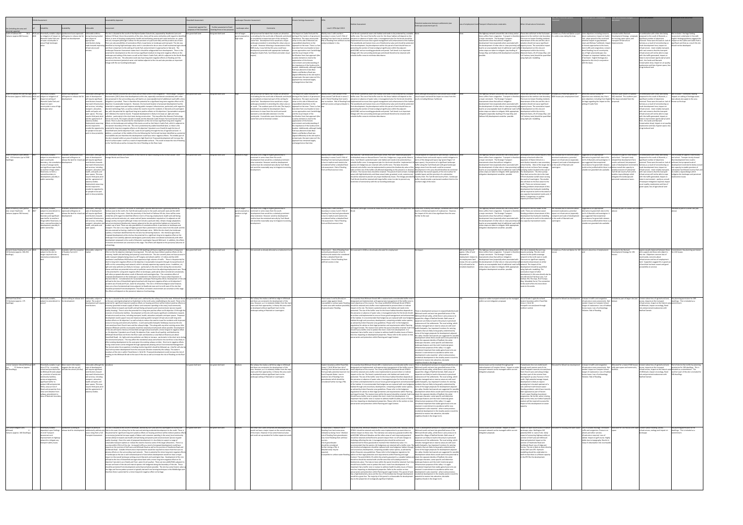|                                                                                                                                               | <b>SHLAA Assessment</b>                                                                                                                                                            |                                                                                                                                                                                                                                   |                                                                                                                                 |                                                                                                                                                                                                                                                                                                                                                                 | Sustainability Appraisal                                                                                                                                                                                                                                                                                                                                                                                                                                                                                                                                                                                                                                                                                                                                                                                                                                                                                                                                                                                                                                                                                                                                                                                                                                                                                                                                                                                                                                                                                                                                                                                                                                                                                                                                                                                                                                                                                                                                                                                                                                                                                                                                                                                                                                                                                                                                                                                                                                                                                                                                                                                                                                                                                      | <b>Greenbelt Assessment</b>                         |                                                              |                              | Landscape Character Assessment                                                                                                                                                                                                                                                                                                                                                                                                                                                                                                                                                                                                                                                                         | <b>Historic Settings Assessment</b>                                                                                                                                                                                                                                                                                                                                                                                                                                                                                                                                                                                                                                                                     | SERA                                                                                                                                                                                                                                                                                        |                                                                                                                                                                                                                                                                                                                                                                                                                                                                                                                                                                                                                                                                                                                                                                                                                                                                                                                                                                                                                                                                                                                                                                                                                                                                                                                                                                                                                                                                                                                                                                                                                                                                                                                                                                                                                                                                                                                                                                                                                                                                                                                                                                                                                                                                                                                                                                                                |                                                                                                                                                                                                                                                                                                                                                                                                                                                                                                                                                                                                                                                                                                                                                                                                                                                                                                                                                                                                                       |                                                                                                                                     |                                                                                                                                                                                                                                                                                                                                                                                                                                                                                                                                                                                                                                                                                                                                                                                                        |                                                                                                                                                                                                                                                                                                                                                                                                                                                                                                                                                                                                                                                                 |                           |
|-----------------------------------------------------------------------------------------------------------------------------------------------|------------------------------------------------------------------------------------------------------------------------------------------------------------------------------------|-----------------------------------------------------------------------------------------------------------------------------------------------------------------------------------------------------------------------------------|---------------------------------------------------------------------------------------------------------------------------------|-----------------------------------------------------------------------------------------------------------------------------------------------------------------------------------------------------------------------------------------------------------------------------------------------------------------------------------------------------------------|---------------------------------------------------------------------------------------------------------------------------------------------------------------------------------------------------------------------------------------------------------------------------------------------------------------------------------------------------------------------------------------------------------------------------------------------------------------------------------------------------------------------------------------------------------------------------------------------------------------------------------------------------------------------------------------------------------------------------------------------------------------------------------------------------------------------------------------------------------------------------------------------------------------------------------------------------------------------------------------------------------------------------------------------------------------------------------------------------------------------------------------------------------------------------------------------------------------------------------------------------------------------------------------------------------------------------------------------------------------------------------------------------------------------------------------------------------------------------------------------------------------------------------------------------------------------------------------------------------------------------------------------------------------------------------------------------------------------------------------------------------------------------------------------------------------------------------------------------------------------------------------------------------------------------------------------------------------------------------------------------------------------------------------------------------------------------------------------------------------------------------------------------------------------------------------------------------------------------------------------------------------------------------------------------------------------------------------------------------------------------------------------------------------------------------------------------------------------------------------------------------------------------------------------------------------------------------------------------------------------------------------------------------------------------------------------------------------|-----------------------------------------------------|--------------------------------------------------------------|------------------------------|--------------------------------------------------------------------------------------------------------------------------------------------------------------------------------------------------------------------------------------------------------------------------------------------------------------------------------------------------------------------------------------------------------------------------------------------------------------------------------------------------------------------------------------------------------------------------------------------------------------------------------------------------------------------------------------------------------|---------------------------------------------------------------------------------------------------------------------------------------------------------------------------------------------------------------------------------------------------------------------------------------------------------------------------------------------------------------------------------------------------------------------------------------------------------------------------------------------------------------------------------------------------------------------------------------------------------------------------------------------------------------------------------------------------------|---------------------------------------------------------------------------------------------------------------------------------------------------------------------------------------------------------------------------------------------------------------------------------------------|------------------------------------------------------------------------------------------------------------------------------------------------------------------------------------------------------------------------------------------------------------------------------------------------------------------------------------------------------------------------------------------------------------------------------------------------------------------------------------------------------------------------------------------------------------------------------------------------------------------------------------------------------------------------------------------------------------------------------------------------------------------------------------------------------------------------------------------------------------------------------------------------------------------------------------------------------------------------------------------------------------------------------------------------------------------------------------------------------------------------------------------------------------------------------------------------------------------------------------------------------------------------------------------------------------------------------------------------------------------------------------------------------------------------------------------------------------------------------------------------------------------------------------------------------------------------------------------------------------------------------------------------------------------------------------------------------------------------------------------------------------------------------------------------------------------------------------------------------------------------------------------------------------------------------------------------------------------------------------------------------------------------------------------------------------------------------------------------------------------------------------------------------------------------------------------------------------------------------------------------------------------------------------------------------------------------------------------------------------------------------------------------|-----------------------------------------------------------------------------------------------------------------------------------------------------------------------------------------------------------------------------------------------------------------------------------------------------------------------------------------------------------------------------------------------------------------------------------------------------------------------------------------------------------------------------------------------------------------------------------------------------------------------------------------------------------------------------------------------------------------------------------------------------------------------------------------------------------------------------------------------------------------------------------------------------------------------------------------------------------------------------------------------------------------------|-------------------------------------------------------------------------------------------------------------------------------------|--------------------------------------------------------------------------------------------------------------------------------------------------------------------------------------------------------------------------------------------------------------------------------------------------------------------------------------------------------------------------------------------------------------------------------------------------------------------------------------------------------------------------------------------------------------------------------------------------------------------------------------------------------------------------------------------------------------------------------------------------------------------------------------------------------|-----------------------------------------------------------------------------------------------------------------------------------------------------------------------------------------------------------------------------------------------------------------------------------------------------------------------------------------------------------------------------------------------------------------------------------------------------------------------------------------------------------------------------------------------------------------------------------------------------------------------------------------------------------------|---------------------------|
| Site (including site area and<br>potential capacity)                                                                                          |                                                                                                                                                                                    |                                                                                                                                                                                                                                   |                                                                                                                                 | Achievable                                                                                                                                                                                                                                                                                                                                                      | Assessment                                                                                                                                                                                                                                                                                                                                                                                                                                                                                                                                                                                                                                                                                                                                                                                                                                                                                                                                                                                                                                                                                                                                                                                                                                                                                                                                                                                                                                                                                                                                                                                                                                                                                                                                                                                                                                                                                                                                                                                                                                                                                                                                                                                                                                                                                                                                                                                                                                                                                                                                                                                                                                                                                                    | Assessment against five<br>purposes of the Greenbel | Further assessment of land<br>meeting three or less purpose: | Landscape value              | Comments                                                                                                                                                                                                                                                                                                                                                                                                                                                                                                                                                                                                                                                                                               |                                                                                                                                                                                                                                                                                                                                                                                                                                                                                                                                                                                                                                                                                                         | Level 1 SFRA April 2013                                                                                                                                                                                                                                                                     | <b>Habitat Assessment</b>                                                                                                                                                                                                                                                                                                                                                                                                                                                                                                                                                                                                                                                                                                                                                                                                                                                                                                                                                                                                                                                                                                                                                                                                                                                                                                                                                                                                                                                                                                                                                                                                                                                                                                                                                                                                                                                                                                                                                                                                                                                                                                                                                                                                                                                                                                                                                                      | Potential coalescence between settlements (see<br>landscape assessment part 2)                                                                                                                                                                                                                                                                                                                                                                                                                                                                                                                                                                                                                                                                                                                                                                                                                                                                                                                                        |                                                                                                                                     | oss of employment land Transport infrastructure constraints                                                                                                                                                                                                                                                                                                                                                                                                                                                                                                                                                                                                                                                                                                                                            | Other infrastructure Constraints                                                                                                                                                                                                                                                                                                                                                                                                                                                                                                                                                                                                                                |                           |
| South of Gallows Hill 36.4 W10 and Potentially suitable subject Landowners have expressed Achievable within a<br>Hectares (approx 600 houses) | W26<br>n open countryside in<br>area of high landscape                                                                                                                             | Warwick Castle Park and Imixed use development                                                                                                                                                                                    | o mitigation of impact on willingness to release site for                                                                       | strong housing market<br>and subject to<br>appropriate<br>contributions being<br>infrastructure and<br>services.                                                                                                                                                                                                                                                | he site is situated to the south of the Myton Garden Suburb site, separated by Heathcote Lane and<br>allows Hill Road. Given the proximity of the sites, there will be some similarities with regard to identifie<br>effects in term of housing; employment; health and well being; poverty and social exclusion; air, water<br>and soil; transport (although it allows for the provision of a park and ride) and the prudent use of land.<br>There are also possibilities of cumulative effects in particular on landscape and transport. The site was<br>made towards improving identified as having high landscape value and it is considered to be an area of well-maintained agricultural<br>land that is important to the setting of Castle Park and prominent in approaches to Warwick. The<br>Landscape Character Assessment states that it should be safeguarded from development. There is the<br>potential for development at this site to have significant medium to long term negative effects on the<br>landscape and setting of the towns as well as the Historic Castle Park, which is adjacent to the North Wes<br>boundary of the site. The allocation could also have long-term negative effects on flooding and the<br>natural environment (potential water vole habitat adjacent to the site and also provides an important<br>linkage with the surrounding landscape)                                                                                                                                                                                                                                                                                                                                                                                                                                                                                                                                                                                                                                                                                                                                                                                                                                                                                                                                                                                                                                                                                                                                                                                                                                                                                                                   | Non green belt land                                 | Non green belt land                                          | Part of larger<br>high value | Well preserved farmland that creates an attractive<br>parcel assessed as rural setting for the south side of Warwick and should setting of the Castle is of paramount<br>be considered an important part of the setting for<br>Castle Park. Development here would set a major<br>landscape precedent in extending the urban area so<br>ar south. However following a reassessment of the approach to the town. There is a fast<br>2009 study, it was felt that this area could have<br>development potential with appropriate landscape<br>itigation (Castle Park, Tach Brook and wider visual and the visual impact of the                                                                           | The impact on Castle Park and the Mainly zone 1 with southern<br>mportance. The open countryside<br>views on this side of Warwick are<br>unparalleled elsewhere on the<br>transition from countryside to town<br>as one approaches over Castle Bridge<br>fortification from that approach (the<br>urprise element) is vital to the<br>appreciation of the historic<br>environment and understanding of<br>the importance of the Castle and its<br>location. Additionally, although Castl<br>Park was altered to make New<br>Waters and Banbury Road was<br>aligned differently to the old road to<br>compensate, the open nature of this<br>approach has remained largely<br>unchanged since that time. | boundary in zones 2 and 3. Risk of<br>and groundwater is low.                                                                                                                                                                                                                               | ach Brook is potential water vole habitat and needs to be protected by a suitable None<br>buffer zone. The size of the buffer zone for this linear habitat will depend on the<br>flooding from land is low to medium. presence or absence of water voles. A management plan for the brook should be<br>Risk of flooding from artificial sources implemented to ensure future good management and enhancement of the habitat.<br>The woodlands and mature trees are of biodiversity value and should be protected<br>from development. Any development within this parcel of land should focus on<br>protecting the section of most ecological significance within the adjacent<br>pLWS/SINC and surrounding grasslands and ponds. Tach brook is an important<br>linkage with the surrounding landscape and should therefore be retained with<br>suitable buffer zones to minimise disturbance.                                                                                                                                                                                                                                                                                                                                                                                                                                                                                                                                                                                                                                                                                                                                                                                                                                                                                                                                                                                                                                                                                                                                                                                                                                                                                                                                                                                                                                                                                                 |                                                                                                                                                                                                                                                                                                                                                                                                                                                                                                                                                                                                                                                                                                                                                                                                                                                                                                                                                                                                                       |                                                                                                                                     | The highway network around this site is busy and at These sites will drain to the foul sewer Included as<br>times suffers from congestion. Transport is therefore adjacent to the northern site boundary. of a wider a<br>a major constraint. The Strategic Transport<br>Assessments show that without mitigation<br>development here (especially when associated with isolation should not cause significant<br>the development of other sites in close proximity) will capacity issues. The cumulative impact<br>lead to an unacceptable level of additional road traffic of development on this site and<br>unless steps are taken to mitigate. (esp dualling of development within the vicinity<br>Europa Way and Gallows hill) development would be (Warwick Gates, W of Europa Way and           | There are no known flooding incidents<br>downstream of the site and this site in<br>S of Harbury Lane) should be quantified<br>using hydraulic modelling.                                                                                                                                                                                                                                                                                                                                                                                                                                                                                                       |                           |
| South of Gallows Hill and the Asps W10, Potentially suitable,<br>96 Hectares (approx 1600 houses) W26 and subject to mitigation of            | impact on setting of<br>Warwick Castle Park and<br>impact on open<br>landscape value                                                                                               | countryside in area of high                                                                                                                                                                                                       | Owner has expressed<br>illingness to release site<br>evelopment                                                                 | scale of development<br>will require significant<br>contributions towards<br>improved infrastructure<br>and services, including<br>transport, education,<br>health and parks and<br>open spaces. This may<br>and the agreement of<br>statutory bodies.<br>Employment areas may<br>also be required to<br>for people to live and                                 | Achievable although the The road network around the site is busy and at times suffers from congestion. The Strategic Transport Non green belt land<br>sessments (2012) show that development at this site, especially considered cumulatively with other<br>sites proposed in the surrounding area, will lead to an unacceptable level of additional road traffic unless<br>nitigation is provided. There is therefore the potential for a significant long term negative effect on SA<br>objective 2 (sustainable transport). However, the level and location of proposed development has the<br>potential to support new and improve existing public transport infrastructure, particularly with regard to<br>Varwick technology Park, as well as reduce the need to travel for residents in Warwick and Leamington<br>Spa, with the potential for significant long term positive effects on SA objectives 2 (sustainable transport)<br>and 3 (Reduce the need to travel). Proposed development is likely to increase air, light and noise<br>require third party land   pollution - particularly in the short term during construction. This may affect the Warwick Technology<br>Park to the north, The Aspens (Grade II Listed) and the Warwick Castle Historic Park and Garden (Grade I<br>Listed). There is also the potential for development at this site to have significant long term negative<br>effects on the landscape and setting of the towns as well as the Historic Castle Park, which is adjacent to<br>he western boundary of the site. The site is predominantly arable Greenfield land, so there is the<br>provide the opportunity potential for long term negative effects on SA objective 5 (prudent use of land) through the loss of<br>Greenfield land and SA objective 9 (Air, water & soil quality) through the loss of agricultural land. In<br>work in close proximity. addition, a small part of the middle of the site following the Tach brook has been identified as a potential<br>local wildlife site and therefore the development could have minor negative effects. The middle part of<br>the site is located within an area of medium to high flood risk. Proposed development will increase the<br>level of surface water runoff as a result of impermeable surfaces. This could increase the risk of flooding<br>on the Tach Brook as well as increase the risk of flooding on the River Avon                                                                                                                                                                                                                                                                      |                                                     | Non green belt land                                          | High                         | Well preserved farmland that creates an attractive<br>rural setting for the south side of Warwick and should setting of the Castle is of paramount areas around Tach Brook in zones 2<br>be considered an important part of the setting for<br>Castle Park. Development here would set a major<br>andscape precedent in extending the urban area so<br>ar south. The southern part of this site (The Asps) is<br>considered unsuitable for development due to<br>rominence in views from the south and would<br>epresent a considerable extension in to the<br>countryside. It would also sever the last link between fortification from that approach (the<br>Castle Park and its historical context. | importance. The open countryside<br>views on this side of Warwick are<br>unparalleled elsewhere on the<br>approach to the town. There is a fast low.<br>transition from countryside to town<br>as one approaches over Castle Bridge<br>and the visual impact of the<br>urprise element) is vital to the<br>appreciation of the historic<br>environment and understanding of<br>the importance of the Castle and its<br>location. Additionally, although Castle<br>Park was altered to make New<br>Waters and Banbury Road was<br>aligned differently to the old road to<br>compensate, the open nature of this<br>approach has remained largely<br>unchanged since that time.                           | and 3. Risk of flooding from land is                                                                                                                                                                                                                                                        | The impact on Castle Park and the Mainly zone 1 with section in the Tach Brook is potential water vole habitat and needs to be protected by a suitable None although development here would have a wider None<br>buffer zone. The size of the buffer zone for this linear habitat will depend on the<br>presence or absence of water voles. A management plan for the brook should be<br>low to medium. Risk of flooding from implemented to ensure future good management and enhancement of the habitat.<br>artificial sources and groundwater is The woodlands and mature trees are of biodiversity value and should be protected<br>from development. Any development within this parcel of land should focus on<br>protecting the section of most ecological significance within the adjacent<br>pLWS/SINC and surrounding grasslands and ponds. Tach brook is an important<br>linkage with the surrounding landscape and should therefore be retained with<br>suitable buffer zones to minimise disturbance.                                                                                                                                                                                                                                                                                                                                                                                                                                                                                                                                                                                                                                                                                                                                                                                                                                                                                                                                                                                                                                                                                                                                                                                                                                                                                                                                                                             | visual impact and would be impact on views from the<br>south, including Bishops Tachbrook                                                                                                                                                                                                                                                                                                                                                                                                                                                                                                                                                                                                                                                                                                                                                                                                                                                                                                                             |                                                                                                                                     | The highway network around this site is busy and at These sites will drain to the foul sewer Included as<br>times suffers from congestion. Transport is therefore adjacent to the northern site boundary. 1600 house<br>a major constraint. The Strategic Transport<br>Assessments show that without mitigation<br>development here (especially when associated with isolation should not cause significant<br>the development of other sites in close proximity) will capacity issues. The cumulative impact<br>lead to an unacceptable level of additional road traffic of development on this site and<br>unless steps are taken to mitigate. With appropriate development within the vicinity<br>mitigation (especially dualling of Europa Way and<br>Gallows hill) development would be possible. | There are no known flooding incidents<br>downstream of the site and this site in<br>(Warwick Gates, W of Europa Way and<br>S of Harbury Lane) should be quantified<br>using hydraulic modelling                                                                                                                                                                                                                                                                                                                                                                                                                                                                 |                           |
| South of Harbury Lane (Whole<br>site) 123 Hectares (up to 2300                                                                                | Potentially suitable,<br>open countryside<br>in area of sewage works<br>flood zone, to form a<br>natural boundary to<br>development, possibly in<br>public ownership               | subject to amendment to expressed willingness to<br>boundary, site remediation development<br>and significant open buffer<br>to southern fringe within                                                                            | release the land for mixed use will require significant                                                                         | contributions towards<br>improved infrastructure<br>and services, including<br>transport, education an<br>health, and parks and<br>open spaces. This may<br>require third party land<br>and the agreement of<br>statutory bodies.<br>Employment areas may<br>also be required to<br>provide he opportunity<br>for people to live and<br>work in close proximity | Available, landowners have Achievable, although the See information below and comments in the Interim SA report relating to the Former Severn Trent<br>scale of development Sewage Works and Grove Farm                                                                                                                                                                                                                                                                                                                                                                                                                                                                                                                                                                                                                                                                                                                                                                                                                                                                                                                                                                                                                                                                                                                                                                                                                                                                                                                                                                                                                                                                                                                                                                                                                                                                                                                                                                                                                                                                                                                                                                                                                                                                                                                                                                                                                                                                                                                                                                                                                                                                                                       | Non green belt land                                 | Non green belt land                                          |                              | Medium to High This area is on a ridge of higher ground that is<br>rominent in some views from the south.<br>Development here would be a relatively prominent<br>urban extension. However sensitive development<br>could at least be contained naturally by Tach Brook<br>and would be reasonably easy to integrate to existing<br>development.                                                                                                                                                                                                                                                                                                                                                        |                                                                                                                                                                                                                                                                                                                                                                                                                                                                                                                                                                                                                                                                                                         | Mainly zone 1 with southern<br>boundary in zones 2 and 3. Risk of<br>flooding from land and groundwater<br>is low to medium and needs to be<br>considered further a detailed flood<br>risk assessment. Risk of flooding<br>from artificial sources is low.                                  | Key features: Tach Brook with continuous scrub; Poor semi improved grassland; The perception of coalescence with Bishops Tachbrook is None<br>Undisturbed areas on disused Severn Trent site; Hedgerows; Large ponds; Mature  a relevant factor and would require careful mitigation i<br>trees. Tach Brook is potential water vole habitat and needs to be protected by a<br>uitable buffer zone. A management plan for the brook should be implemented. All open space); the provision of a significant landscape<br>species rich hedgerows are retained with a buffer zone. The lakes should be<br>etained and a buffer zone be implemented to protect the biodiversity value of the design views from the south could be screened.<br>lakes and the size of the buffer will affected depending on the presence or absence Development in this area should therefore be restricted<br>of otters. The mature trees should be retained. This parcel of land contains multiple well below the overall capacity of the site to allow for<br>areas with high biodiversity and these areas (Lakes, grassland, scrub, watercourse) suitable layout and the provision of a substantive<br>should be retained to prevent any major biodiversity losses. The linkage provided by Country Park. The Tach Brook Country Park /landscape<br>Tach Brook should be retained with large buffer zones in order to prevent any<br>restriction of connectivity with the surrounding landscape.                                                                                                                                                                                                                                                                                                                                                                                                                                                                                                                                                                                                                                                                                                                                                                                                                                                                                                                 | terms of the design and layout (eg "green fingers" of<br>buffer along the Tach Brook and with good landscape<br>buffer should provide a permanent southern limit to the<br>southern edge of the town.                                                                                                                                                                                                                                                                                                                                                                                                                                                                                                                                                                                                                                                                                                                                                                                                                 |                                                                                                                                     | he highway network around this site is busy and at IDevelopment here would require a new Not include<br>times suffers from congestion. Transport is therefore primary school and either the<br>a major constraint. The Strategic Transport<br>Assessments show that without mitigation<br>development here (especially when associated with school facility. Most of the larger site is to the sout<br>the development of other sites in close proximity) will likely to drain to Grove Farm sewage Leamington<br>lead to an unacceptable level of additional road traffic pumping station located to the east of<br>unless steps are taken to mitigate. With appropriate the development. This then pumps<br>mitigation development would be possible.                                                | expansion of Myton School or a<br>contribution towards a new secondary transport)<br>flows back across the site to the main<br>675mm diameter outfall sewer serving<br>the south of Leamington. The smaller<br>site will drain to the foul sewer to the<br>north. There are no known sewer<br>flooding problems downstream of this<br>development but hydraulic modelling<br>will be required to confirm the extent o<br>any capacity improvement works and, if<br>Option 2 progresses, to confirm<br>capacity at Grove Farm SPS.                                                                                                                               | perceived o<br>mpact on i |
| South of Harbury Lane (partial<br>site)-Lower Heathcote 40<br>Hectares (approx 700 houses)                                                    | Part of Potentially suitable,<br>W07<br>subject to amendment to<br>open countryside<br>open buffer to southern<br>development, possibly in<br>public ownership                     | oundary and significant<br>fringe within flood zone, t<br>form a natural boundary t                                                                                                                                               | wailable, landowners have<br>expressed willingness to<br>release the land for mixed use will require significant<br>development | scale of development<br>contributions towards<br>health, and parks and<br>open spaces.                                                                                                                                                                                                                                                                          | Achievable, although the The allocation is located to the south of Leamington Spa and Whitnash and is generally defined by<br>Harbury Lane to the north, the Tach Brook watercourse to the south and south west and the A452<br>(Europa Way) to the west. Given the proximity of the South of Gallows Hill site, there will be some<br>similarities with regard to identified effects in term of housing; employment; health and well being;<br>improved infrastructure   poverty and social exclusion; air, water and soil (some remediation required as it is adjacent an old<br>and services, including sewage works); transport (although it does not include a park and ride); climate change adaptation;<br>transport, education and natural environment (biodiversity interest adjacent to the site and similar habitats on site) and the<br>prudent use of land. There are also possibilities of cumulative effects in particular on landscape and<br>transport. The site is on a ridge of higher ground that is prominent in some views from the south and the<br>site was assessed as having a medium to high landscape value. While the site clearly has landscape<br>qualities, it had been identified that the site also has detracting features - the intensive agriculture.<br>Proposed development at the site has the potential for a significant long term negative effect on the<br>landscape if not carefully planned and designed, particularly when considered cumulatively with other<br>levelopment proposed to the south of Warwick, Leamington Spa and Whitnash. In addition, the effects<br>on historic environment are uncertain at this stage. The effects will depend on the presence/ absence of<br>archaeology                                                                                                                                                                                                                                                                                                                                                                                                                                                                                                                                                                                                                                                                                                                                                                                                                                                                                                                                                                | Non green belt land                                 | Non green belt land                                          | Part of larger               | his area is on a ridge of higher ground that is<br>parcel assessed as prominent in some views from the south.<br>medium to high  Development here would be a relatively prominent<br>urban extension. However sensitive development<br>buld at least be contained naturally by Tach Brook<br>nd would be reasonably easy to integrate to existing<br>evelopment                                                                                                                                                                                                                                                                                                                                        |                                                                                                                                                                                                                                                                                                                                                                                                                                                                                                                                                                                                                                                                                                         | Mainly zone 1 with southern<br>ooundary in zones 2 and 3. Risk of<br>flooding from land and groundwate<br>is low to medium and needs to be<br>considered further a detailed flood<br>risk assessment. Risk of flooding<br>from artificial sources is low                                    | See above, although it should be noted that this partial site does not adjoin the Tach Some inter-visibility with Bishops Tachbrook which could None                                                                                                                                                                                                                                                                                                                                                                                                                                                                                                                                                                                                                                                                                                                                                                                                                                                                                                                                                                                                                                                                                                                                                                                                                                                                                                                                                                                                                                                                                                                                                                                                                                                                                                                                                                                                                                                                                                                                                                                                                                                                                                                                                                                                                                           | lead to a limited perception of coalescence. However,<br>the impact of this site is less significant than the area<br>further to the east                                                                                                                                                                                                                                                                                                                                                                                                                                                                                                                                                                                                                                                                                                                                                                                                                                                                             |                                                                                                                                     | The highway network around this site is busy and at Will drain to the foul sewer to the<br>times suffers from congestion. Transport is therefore north. There are no known sewer<br>a major constraint. The Strategic Transport<br>Assessments show that without mitigation<br>development here (especially when associated with will be required to confirm the extent of to the sout<br>the development of other sites in close proximity) will any capacity improvement works.<br>lead to an unacceptable level of additional road traffi<br>unless steps are taken to mitigate. With appropriate<br>mitigation development would be possible.                                                                                                                                                      | flooding problems downstream of this impact on i<br>development but hydraulic modelling transport) a                                                                                                                                                                                                                                                                                                                                                                                                                                                                                                                                                            | Not include<br>Leamingtor |
| Warwick Gates Employment Land W20<br>9.8 Hectares (approx. 200-250                                                                            | Potentially suitable,<br>subject to the site no<br>longer required to be<br>retained as employment                                                                                 |                                                                                                                                                                                                                                   | vailable, with the exception Achievable, subject to<br>f Hawkes Farm (0.3<br>ectares)                                           | market                                                                                                                                                                                                                                                                                                                                                          | is with the other allocations, the delivery of 220 dwellings will have a significant medium to long term Non green belt land<br>effect on the SA objective relating to housing need. This will also have indirect positive effects on the<br>economy, health and well being and poverty/ social exclusion. The site currently does not have access to<br>public transport (despite being close to a GP Surgery and schools (within 1.5 miles) and the A452<br>Heathcote Lane/Gallows Hill/Harbury Lane experience high volumes of traffic. There is the potential for<br>short to long term negative effects on SA objective 2 (sustainable transport) through increased levels of<br>traffic on the surrounding road network, which is already experiencing capacity issues. In addition, air,<br>light and noise pollution are likely to increase - particularly in the short term during the construction<br>phases and there are potential noise and air pollution sources from the adjoining employment uses. There<br>is the potential for a long term negative effect on landscape, particularly when considered cumulatively<br>with other proposed allocations south of Warwick and Leamington Spa. The cumulative effect of<br>proposed development on the landscape is considered in the Options for Future Urban Expansion in<br>Warwick District - Considerations for Sustainable Landscape Planning (Nov 2012). Development of the site<br>will lead to the loss of Greenfield/ agricultural land with long term negative effects on SA objective 5<br>(prudent use of land) and 9 (air, water & soil quality). The site is of limited ecological value however,<br>there are a line of protected oak trees adjacent to Heathcote Lane and to north east of the site that<br>should be protected from development. The effects on historic environment are uncertain at this stage.<br>The effects will depend on the presence/absence of archaeology                                                                                                                                                                                                                                                                                                                                                                                                                                                                                                                                                                                                                                                                                                                                           |                                                     | Non green belt land                                          |                              | Not assessed as already allocated as employment land                                                                                                                                                                                                                                                                                                                                                                                                                                                                                                                                                                                                                                                   |                                                                                                                                                                                                                                                                                                                                                                                                                                                                                                                                                                                                                                                                                                         | land and groundwater is low to<br>medium and needs to be considered<br>further a detailed flood risk<br>assessment. Risk of flooding from<br>artificial sources is low.                                                                                                                     | Flood zone 1. Risk of flooding from Not assessed in 2008 as site already allocated for employment                                                                                                                                                                                                                                                                                                                                                                                                                                                                                                                                                                                                                                                                                                                                                                                                                                                                                                                                                                                                                                                                                                                                                                                                                                                                                                                                                                                                                                                                                                                                                                                                                                                                                                                                                                                                                                                                                                                                                                                                                                                                                                                                                                                                                                                                                              | No impact.                                                                                                                                                                                                                                                                                                                                                                                                                                                                                                                                                                                                                                                                                                                                                                                                                                                                                                                                                                                                            | Nill result in loss of<br>approx. 10ha of land<br>llocated for<br>he employment land:<br>f it) will need to be<br>rovided elsewhere | The highway network around this site is busy and at The site is relatively flat and may<br>times suffers from congestion. Transport is therefore require pumping. The site could<br>a major constraint. The Strategic Transport<br>employment. Subject to Assessments show that without mitigation<br>elopment here (especially when associated with There are no significant capacity<br>eview, this (or a portion the development of other sites in close proximity) will constraints downstream on either<br>lead to an unacceptable level of additional road traffic network. The impact of the<br>inless steps are taken to mitigate. With appropriate development should be quantified<br>itigation development would be possible.                                                               | connect to the public sewerage<br>network to the north east or south.<br>using hydraulic modelling. The<br>umulative impact of other<br>development in this area should also be<br>onsidered (S of Harbury Lane, S of<br>Gallows Hill, The Asps, W of Europa<br>Way, Woodside Farm). The connection<br>to the south offers the most direct<br>route to the works.                                                                                                                                                                                                                                                                                               | าcluded as                |
| Vhitnash East (Part)<br>5 Hectares (approx. 175                                                                                               | Potentially suitable,                                                                                                                                                              | subject to amendment to                                                                                                                                                                                                           | Owner willing to release land Achievable, subject to<br>for development                                                         | market. The scale of<br>contributions                                                                                                                                                                                                                                                                                                                           | ie site is situated to the east of Whitnash and is defined by the railway line to the west, Whitnash Brook Non green belt land<br>the east, existing development at Sydenham to the north and a smallholding to the south. There is the<br>development will require potential for significant long term positive effects on housing and there will be indirect positive effects on<br>economy (potential increase supply of labour and consumer spending in the area), local community<br>services (likely increased use) health and well being and poverty and social exclusion (access to good<br>quality housing). There is also the potential for a long term positive effect on SA objective 13 through the<br>rovision of community facilities. Development at this site will require significant contributions towards<br>infrastructure and services, including transport, health, education and parks and open spaces. Proposed<br>levelopment could support new and improve existing public transport infrastructure with long term<br>positive effects on SA objective 2 as well as help to reduce the need to travel for residents with improved<br>access to housing and community facilities. A well-used public footpath/ bridleway traverses the site<br>from west/east from Church Lane and the railway bridge. This along with any other existing access links<br>between Whitnash and the countryside should be retained and enhanced where possible. Development<br>of the site will lead to the loss of Greenfield and agricultural land with a minor long term negative effect<br>on: SA objective 5 (prudent use of land); SA objective 9 (air, water & soil quality); and biodiversity<br>(Whitnash Brook flows north into the River Leam and becomes a Local Nature Reserve just above<br>Greenfield Road). Air, light and noise pollution are likely to increase - particularly in the short term during<br>the construction phases. This may affect the residential areas and school in the north but is less likely to<br>affect existing development to the west given the existing railway corridor. Short-term negative effects<br>during construction can be mitigated through appropriate phasing and an Environmental Management<br>Plan (construction & occupation), including monitoring which should be followed-up. A buffer will also be<br>required to protect development from the noise and vibration created by the railway. The eastern<br>oundary of the site is within Flood Zones 2, 3A & 3B.  Proposed development could increase the risk of<br>flooding on the Whitnash Brook to the east of the site as well as increase the risk of flooding on the River |                                                     | Non green belt land                                          | Medium                       | The railway line makes a definitive edge to Whitnash<br>nd there are constraints for development of this<br>area. However, as it is relatively hidden from the mair<br>towns and their approaches, in theory this area could<br>be developed without significant harm to the<br>landscape setting of Warwick or Leamington.                                                                                                                                                                                                                                                                                                                                                                            |                                                                                                                                                                                                                                                                                                                                                                                                                                                                                                                                                                                                                                                                                                         | Flood zones 2 and 3a (fluvial) on<br>eastern edge against brook.<br>Susceptible to surface water flooding<br>of ground water flooding.                                                                                                                                                      | is essential that Whitnash Brook LNR is retained and a considerable buffer zone is<br>designated and implemented, with appropriate management of the buffer zone to<br>meet objectives of the reserve. The Linear pLWS/SINC Whitnash Brook SP36G1<br>in same area with medium possibility should be retained and a buffer zone implemented to prevent direct or indirect<br>impact on the site. The brook is potential water vole habitat and needs to be<br>protected. The size of the buffer zone for this linear habitat therefore depends on<br>the presence or absence of water voles. A management plan for the brook should   Whitnash south and east into greenfield areas of the<br>be written and implemented to ensure future good management and enhancement Whitnash Brook valley, whilst there is also pressure to<br>of the habitat. It is recommended that hedgerows are replaced with new hedgerow  expand the village of Radford Semele. Both areas of<br>habitat through and around any development, comprising suitable native species,<br>is advised by Arden Character area guidelines. Please refer to the hedgerow<br>regulations for advice on their legal protection and requirements within Planning<br>and Legal Context. The mature trees within the parcel should be retained. Each tree public footpaths, has important functions for existing<br>should have a buffer zone to protect the tree's roots from development. It is<br>mportant that a buffer zone is in place to address health & safety issues of future<br>tree loss impacting on development properties. Please refer to the section on tree<br>preservation and protection within Planning and Legal Context.                                                                                                                                                                                                                                                                                                                                                                                                                                                                                                                                                                                                                                                                                  | There is development pressure to expand Sydenham and<br>expansion are likely to lead to the actual or perceived<br>palescence of the settlements. The rural setting, which<br>includes managed nature reserve areas are well used<br>esidents that are likely to be greatly undermined by<br>some of the larger proposals for development adjacent<br>the valley. Smaller land parcels are suggested for possibl<br>development where there would seem to be potential t<br>retain the separate identity of Radford, the wider<br>landscape character, some specific and distinctive<br>landscape features and the multi-functional green<br>infrastructure purposes of the valley. It is again<br>considered important that viable agricultural units are<br>retained. A commitment to excellence within new<br>levelopment is also essential - where some previous<br>esidential development in the locality seems to lack th<br>potential to mature into attractive, desirable<br>ighbourhoods in the longer term. |                                                                                                                                     | npact on wider transport network can be managed<br>within current mitigation proposals                                                                                                                                                                                                                                                                                                                                                                                                                                                                                                                                                                                                                                                                                                                 | Loss of Grade 2 agricultural land.<br>Eastern boundary within Flood Risk<br>Zones 2, 3A & 3B<br>Footpath runs east/west through<br>northern section                                                                                                                                                                                                                                                                                                                                                                                                                                                                                                             | Allocated f               |
| Land at Campion School/Whitnash L39<br>37 Hectares (approx.<br>600 Dwellings)                                                                 | community facilities,<br>access arrangements<br>significant buffer to<br>SINCs; areas at risk of<br>flood; and properties fro<br>noise and vibration from<br>railway, amendment to | Potentially suitable in part Most recent information<br>(circa 37 ha - to exclude<br>school and provide buffer<br>o Whitnash Brook) subje<br>: provision of social and<br>protect LNR and potential<br>Area of Restraint boundary | suggests the site are will<br>exclude the school (10.4ha                                                                        | Achievable although the see above<br>scale of development<br>will require significant<br>contributions toward<br>improved infrastructure<br>and services, including<br>transport, education,<br>health and parks and<br>open spaces. This may<br>require third party land<br>and the agreement of<br>statutory bodies.                                          |                                                                                                                                                                                                                                                                                                                                                                                                                                                                                                                                                                                                                                                                                                                                                                                                                                                                                                                                                                                                                                                                                                                                                                                                                                                                                                                                                                                                                                                                                                                                                                                                                                                                                                                                                                                                                                                                                                                                                                                                                                                                                                                                                                                                                                                                                                                                                                                                                                                                                                                                                                                                                                                                                                               | non green belt land                                 | non green belt land                                          | Medium                       | The railway line makes a definitive edge to Whitnash<br>and there are constraints for development of this<br>area. However, as it is relatively hidden from the main<br>owns and their approaches, in theory this area could<br>be developed without significant harm to the<br>landscape setting of Warwick or Leamington.                                                                                                                                                                                                                                                                                                                                                                            |                                                                                                                                                                                                                                                                                                                                                                                                                                                                                                                                                                                                                                                                                                         | Eastern boundary within Flood Risk<br>Zones 2, 3A & 3B but low risk of<br>flooding from land and residual risk<br>from partially potential reservoir risk<br>from Draycote Water. Low to<br>medium risk of flooding from<br>groundwater which should be<br>considered further during a FRA. | It is essential that Whitnash Brook LNR is retained and a considerable buffer zone is There is development pressure to expand Sydenham and N/A<br>esignated and implemented, with appropriate management of the buffer zone to YWhitnash south and east into greenfield areas of the<br>meet objectives of the reserve. The Linear pLWS/SINC Whitnash Brook SP36G1<br>should be retained and a buffer zone implemented to prevent direct or indirect<br>mpact on the site. The brook is potential water vole habitat and needs to be<br>protected. The size of the buffer zone for this linear habitat therefore depends on<br>he presence or absence of water voles. A management plan for the brook should lincludes managed nature reserve areas are well used<br>e written and implemented to ensure future good management and enhancement public footpaths, has important functions for existing<br>of the habitat. It is recommended that hedgerows are replaced with new hedgerow residents that are likely to be greatly undermined by<br>habitat through and around any development, comprising suitable native species, some of the larger proposals for development adjacent<br>is advised by Arden Character area guidelines. Please refer to the hedgerow<br>egulations for advice on their legal protection and requirements within Planning   development where there would seem to be potential t<br>and Legal Context. The mature trees within the parcel should be retained. Each tree retain the separate identity of Radford, the wider<br>should have a buffer zone to protect the tree's roots from development. It is<br>important that a buffer zone is in place to address health & safety issues of future llandscape features and the multi-functional green<br>tree loss impacting on development properties. Please refer to the section on tree infrastructure purposes of the valley. It is again<br>preservation and protection within Planning and Legal Context.                                                                                                                                                                                                                                                                                                                                                                                            | Whitnash Brook valley, whilst there is also pressure to<br>xpand the village of Radford Semele. Both areas of<br>pansion are likely to lead to the actual or perceived<br>oalescence of the settlements. The rural setting, which<br>the valley. Smaller land parcels are suggested for possib<br>landscape character, some specific and distinctive<br>onsidered important that viable agricultural units are:<br>retained. A commitment to excellence within new<br>development is also essential - where some previous<br>esidential development in the locality seems to lack the<br>potential to mature into attractive, desirable<br>neighbourhoods in the longer term.                                                                                                                                                                                                                                                                                                                                         |                                                                                                                                     | Access issues can be resolved through partial<br>redevelopment of Campion School. Impact on wider through south eastern part of site.<br>transport network can be managed within current<br>mitigation proposals                                                                                                                                                                                                                                                                                                                                                                                                                                                                                                                                                                                       | nsmission line runs north/south<br>Public footpath traverses site west/east<br>rom Church Lane and railway bridge.<br>Southern part of site remote from<br>xisting built up area if access is from<br>north. High potential sewage impact,<br>development is likely to require<br>oumping but is located upstream of a<br>sub-catchment with known sewer<br>looding problems, which have recently<br>been appraised as part of Severn<br>Trent's sewer flooding investment<br>programme. No further action is being<br>taken at this time, but further hydraulic<br>analysis will be required to assess the<br>impact of this development on sewer<br>capacity. | Allocated fr              |
| Golf Lane/Fieldgate Lane,<br>Hectares (approx. 100 Dwellings)                                                                                 | Potentially suitable<br>of a full Transport<br>sessment and<br>transport safety issues.                                                                                            | lependent upon findings<br>improvements to highway<br>network to mitigate any                                                                                                                                                     | Landowner is willing to                                                                                                         | Subject to ability to<br>Fransport Assessment                                                                                                                                                                                                                                                                                                                   | The site is situated to the south of Whitnash, defined by Golf Lane and the Leamington & County Golf [non green belt land<br>release land for development satisfactorily address any Club to the west, the railway line to the east and existing residential development to the north. There is<br>issues rising from a full   the potential for significant long term positive effects on housing and there will be indirect positive effects<br>Jon economy (potential increase supply of labour and consumer spending in the area), local community<br>services (likely increased use) health and well being and poverty and social exclusion (access to good<br>quality housing). Given the scale of proposed development it is less likely to support a range of<br>sustainable transport options or reduce the need to travel as some of the larger allocations. There is a<br>bus stop within 250 m of the site. Increased traffic as a result of proposed development could have<br>impacts on the junction of Golf Lane and Whitnash Road as well as the junction of Heathcote Road and<br>Tachbrook Road. Suitable infrastructure improvements would be required to ensure that there are no<br>adverse effects on the surrounding road network. There is potential for minor long term negative effects<br>on landscape as the site is well contained parcel of land where development would not have a major<br>impact on the overall landscape setting around Warwick and Leamington Spa. Development of the site<br>will lead to the loss of Greenfield and agricultural land with a minor long term negative effect on SA<br>objective 5 (prudent use of land) and 9 (air, water & soil quality). There are two pLWS/SINCs adjacent to<br>the east and west of the site and mature species rich hedgerow along the boundary of the site. These<br>should be protected from development and enhanced where possible. The site has some historic value as<br>the ridge and furrow pattern present is typically derived from farming techniques in the Middle Ages and<br>therefore there is potential for a minor long term negative effect on heritage                                                                                                                                                                                                                                                                                                                                                                                                                                                                                                                                          |                                                     | non green belt land                                          | Medium                       | This small site is well contained and development here<br>would not have a major impact on the overall setting<br>of the towns. However it has some historical value<br>and could set a precedent for further expansion soutr                                                                                                                                                                                                                                                                                                                                                                                                                                                                          |                                                                                                                                                                                                                                                                                                                                                                                                                                                                                                                                                                                                                                                                                                         | In flood zone 1. Medium risk of<br>flooding from land some areas<br>indicated as being 'more'. Medium<br>risk of flooding from groundwater.<br>Low risk of flooding from artificial<br>risk of groundwater<br>should be considered<br>further during a FRA. A<br>detailed study may be      | The pLWS/SINC Whitnash Meadow SP36G2 and Linear pLWS/SINC Railway Cutting   There is development pressure to expand Sydenham and N/A<br>SP36K1 should be retained and a buffer zone implemented to prevent direct or<br>indirect impact on these sites. The relatively rare calcareous grassland within the Whitnash Brook valley, whilst there is also pressure to<br>pLWS/SINC Whitnash Meadow and the other areas of semi improved grassland<br>should be retained and buffered to prevent impact from run off and changes to<br>hydrology affecting the site. A management plan should be written and<br>mplemented for these grasslands to maintain their biodiversity value. It is<br>recommended that the species rich hedgerows are retained with a buffer zone. The public footpaths, has important functions for existing<br>less biodiverse hedgerows should be replaced with new hedgerow habitat through residents that are likely to be greatly undermined by<br>and around any development, comprising suitable native species, as advised by<br>Arden Character area guidelines. Please refer to the hedgerow regulations for<br>susceptible to surface water flooding advice on their legal protection and requirements within Planning and Legal<br>Context. The pond (ID#16,17) within the amenity grassland is a valuable habitat and retain the separate identity of Radford, the wider<br>therefore should be retained with a buffer zone that will suitably protect its<br>biodiversity value. The mature trees within the parcel should be retained. Each tree landscape features and the multi-functional green<br>should have a buffer zone to protect the tree's roots from development. It is<br>important that a buffer zone is in place to address health & safety issues of future loonsidered important that viable agricultural units are<br>tree loss impacting on development properties. Refer to the section on tree<br>preservation and protection within Planning and Legal Context. This parcel of land levelopment is also essential - where some previous<br>has a high biodiversity value and the loss of this biodiversity through development<br>would be a great loss. The majority of this parcel is unfavourable for development potential to mature into attractive, desirable<br>due to the proportion of ecologically significant habitats. | Whitnash south and east into greenfield areas of the<br>expand the village of Radford Semele. Both areas of<br>expansion are likely to lead to the actual or perceived<br>coalescence of the settlements. The rural setting, which<br>includes managed nature reserve areas are well used<br>some of the larger proposals for development adjacent<br>the valley. Smaller land parcels are suggested for possible<br>development where there would seem to be potential t<br>landscape character, some specific and distinctive<br>infrastructure purposes of the valley. It is again<br>retained. A commitment to excellence within new<br>residential development in the locality seems to lack the<br>neighbourhoods in the longer term.                                                                                                                                                                                                                                                                           |                                                                                                                                     | Access issues can be resolved. Impact on wider<br>transport network can be managed within current<br>mitigation proposals                                                                                                                                                                                                                                                                                                                                                                                                                                                                                                                                                                                                                                                                              | mpact on open countryside of medium Allocated f<br>landscape value. Mollington Hill<br>potential SINC to west of site. Likely<br>mpact of worsening highway safety a<br>junction of Golf Lane and Whitnash<br>Road and potential impact on the<br>junction of Heathcote Road and<br>Tachbrook Road. Loss of ridge and<br>furrow. The site is likely to drain directly<br>to the Golf Lane SPS. Hydraulic<br>modelling should be undertaken to<br>confirm that there is sufficient capacity<br>in the SPS ffor the development.                                                                                                                                  |                           |

| May 2012 Preferred Options<br>Document                                                                                                                                                             | Preferred Options Consultation                                                                                                                                                                                                                                                                                                                                                                                                                                                                      | June 2013 Revised Changes<br>document                                                                                                                                                                                                                                                                                                                                          | 2013 Consultation                                                                                                                                                                                                                                                                                                                                                                                                                                                                                                                                                                                                     | <b>Submission Draft Local Plan</b>                                                                                                                                                                                                                                                                                                                                                |
|----------------------------------------------------------------------------------------------------------------------------------------------------------------------------------------------------|-----------------------------------------------------------------------------------------------------------------------------------------------------------------------------------------------------------------------------------------------------------------------------------------------------------------------------------------------------------------------------------------------------------------------------------------------------------------------------------------------------|--------------------------------------------------------------------------------------------------------------------------------------------------------------------------------------------------------------------------------------------------------------------------------------------------------------------------------------------------------------------------------|-----------------------------------------------------------------------------------------------------------------------------------------------------------------------------------------------------------------------------------------------------------------------------------------------------------------------------------------------------------------------------------------------------------------------------------------------------------------------------------------------------------------------------------------------------------------------------------------------------------------------|-----------------------------------------------------------------------------------------------------------------------------------------------------------------------------------------------------------------------------------------------------------------------------------------------------------------------------------------------------------------------------------|
| Included as a Preferred Option as part<br>of a wider areas taking the Asps                                                                                                                         | Some objections including concerns<br>about coalescence; impact on Castle<br>Park; urban sprawl to the south and<br>potential impact on gap between<br>towns and Bishops Tachbrook; impact<br>on historic approaches to the town;<br>more traffic and congestions; concern<br>about flooding; loss of countryside;<br>loss of high value landscape; loss<br>of/impact on important habitats; loss<br>of farmland. English Heritage also<br>objected to this site (in conjunction<br>with the Asps). | Included within Revised<br>Development Strategy - proposals<br>for housing, open space, and<br>transport infrastructure<br>improvements.                                                                                                                                                                                                                                       | In combination with other sites being<br>proposed to the south of Warwick, a<br>significant number of objections<br>received. These were focused on: lack of<br>fairness as a result of concentrating so<br>much development here; impact on<br>infrastructure - most notably transport,<br>with real concerns that the transport<br>infrastructure will not be able to cope<br>with the traffic generated; impact on<br>historic environment (particularly Castle<br>Park, the Castle and Warwick<br>Conservation Area; impact on air quality;<br>coalescence and loss of green space; loss<br>of agricultural land  | Not included. Heritage Setting<br>Assessment undertaken in line with<br>English Heritage guidance suggests the<br>impact on the Castle and Castle Park is<br>significant and that as a result this site<br>should not be developed.                                                                                                                                               |
| Included as a Preferred Option for<br>1600 houses plus employment land                                                                                                                             | Whilst the overall number of<br>objections was relatively low, there<br>were objections including from English<br>Heritage regarding the impact on the<br>setting of Castle Park.                                                                                                                                                                                                                                                                                                                   | Northern part (South of Gallows<br>Hill) retained. The southern part<br>(The Asps) excluded from the<br>proposals                                                                                                                                                                                                                                                              | In combination with other sites being<br>proposed to the south of Warwick, a<br>significant number of objections<br>received. These were focused on: lack of<br>fairness as a result of concentrating so<br>much development here; impact on<br>infrastructure - most notably transport,<br>with real concerns that the transport<br>infrastructure will not be able to cope<br>with the traffic generated; impact on<br>historic environment (particularly Castle<br>Park, the Castle and Warwick<br>Conservation Area); impact on air quality;<br>coalescence and loss of green space; loss<br>of agricultural land | Not included - comments relating<br>impacts on setting of heritage assets<br>(see above) also apply to the area<br>known as the Asps                                                                                                                                                                                                                                              |
| Not included due to concerns about<br>perceived coalescence, potential<br>impact on infrastructure (especially<br>transport) and scale of development<br>to the south of Warwick and<br>Leamington | Suggested as an appropriate<br>alternative to green belt sites to the<br>north of Warwick and Leamington. It<br>was suggested that exceptional<br>circumstance for green belt releases<br>could not be justified whilst there is ar<br>suitable non greenbelt site available.                                                                                                                                                                                                                       | Included for approx 1500 houses,<br>and school. Transport study<br>showed that development here<br>could e achieved, but proposed<br>scale of development restricted to<br>below overall site capacity to<br>enable provision of substantial<br>Tach Brook Country Park and to<br>enable a layout/design which<br>mitigates the landscape and<br>perceived coalescence issues. | In combination with other sites being<br>proposed to the south of Warwick, a<br>significant number of objections<br>received. These were focused on: lack of<br>fairness as a result of concentrating so<br>much development here; impact on<br>infrastructure - most notably transport,<br>with real concerns that the transport<br>infrastructure will not be able to cope<br>with the traffic generated; impact on<br>historic environment - partly as a result<br>of transport mitigation required; impact<br>on air quality; coalescence and loss of<br>green space; loss of agricultural land                   | Still included for approx 1500 houses,<br>and school. Transport study showed<br>that development here could e<br>achieved, but proposed scale of<br>development restricted to below overall<br>site capacity to enable provision of<br>substantial Tach Brook Country Park and<br>to enable a layout/design which<br>mitigates the landscape and perceived<br>coalescence issues. |
| Not included due to concerns about<br>perceived coalescence, potential<br>impact on infrastructure (especially<br>transport) and scale of development<br>to the south of Warwick and<br>Leamington | Suggested as an appropriate<br>alternative to green belt sites to the<br>north of Warwick and Leamington. It<br>was suggested that exceptional<br>circumstance for green belt releases<br>could not be justified whilst there is an<br>suitable non greenbelt site available.                                                                                                                                                                                                                       | Included as part of a wider site (see N/A<br>above)                                                                                                                                                                                                                                                                                                                            |                                                                                                                                                                                                                                                                                                                                                                                                                                                                                                                                                                                                                       | Included as part of a wider site (see<br>above)                                                                                                                                                                                                                                                                                                                                   |
| Included as a Preferred Option for 200<br>houses                                                                                                                                                   | Concern about loss of employment<br>land                                                                                                                                                                                                                                                                                                                                                                                                                                                            | Included in the Revised<br>Development Strategy for 250<br>houses                                                                                                                                                                                                                                                                                                              | Approx equally balanced between those<br>who support and those who object to<br>this site. Objections concern loss of<br>countryside, concerns about<br>infrastructure and loss of employment<br>land. Supporters suggest this is good use<br>of land that has been vacant and good<br>accessibility to services                                                                                                                                                                                                                                                                                                      | Commitment. Has planning permission<br>for 220 houses                                                                                                                                                                                                                                                                                                                             |
| Allocated for Mixed Use development                                                                                                                                                                | Increase in traffic and congestion.<br>Infrastructure costs uneconomic. Not<br>needed. Impact on Campion School.<br>Danger of coalescence. Loss of habitat.<br>Access issues. Loss of archaeology.<br>Pollution. Risk of flooding.                                                                                                                                                                                                                                                                  | Included as part of larger site (see<br>below)                                                                                                                                                                                                                                                                                                                                 | Concern about loss of agricultural land,<br>access, impacts on the transport<br>infrastructure, impact on the historic area commitment.<br>of Whitnash, impact on ecology, flood<br>risk and perceived coalescence with<br>Radford Semele                                                                                                                                                                                                                                                                                                                                                                             | Has planning permission for 209<br>dwellings. This is included as a                                                                                                                                                                                                                                                                                                               |
| Allocated for Mixed Use development                                                                                                                                                                | Increase in traffic and congestion.<br>Infrastructure costs uneconomic. Not<br>needed. Impact on Campion School.<br>Danger of coalescence. Loss of habitat.<br>Access issues. Loss of archaeology.<br>Pollution. Risk of flooding.                                                                                                                                                                                                                                                                  | Allocated for a total of 500 houses<br>with open space and community<br>facilities                                                                                                                                                                                                                                                                                             | Concern about loss of agricultural land,<br>access, impacts on the transport<br>infrastructure, impact on the historic area<br>of Whitnash, impact on ecology, flood<br>risk and perceived coalescence with<br>Radford Semele                                                                                                                                                                                                                                                                                                                                                                                         | Part of site (to the north) has planning<br>permission for 209 dwellings. This is<br>included as a commitment. The<br>southern part of the site is included for<br>300 dwellings                                                                                                                                                                                                  |
| Allocated for housing and Open Space                                                                                                                                                               | Lack of suitable drainage. Increased<br>traffic and congestion. Pressure on<br>schools and other services.<br>Infrastructure required. Loss of<br>habitat. Impact on golf course. Highly<br>visible due to topography. Results in<br>creep of urbanisation into countryside.                                                                                                                                                                                                                        | Allocated for 100 houses with open Concern about flooding, access,<br>space.                                                                                                                                                                                                                                                                                                   | infrastructure, ecology and impact on<br>landscape                                                                                                                                                                                                                                                                                                                                                                                                                                                                                                                                                                    | Has planning permission for 94<br>dwellings. This is included as a<br>commitment.                                                                                                                                                                                                                                                                                                 |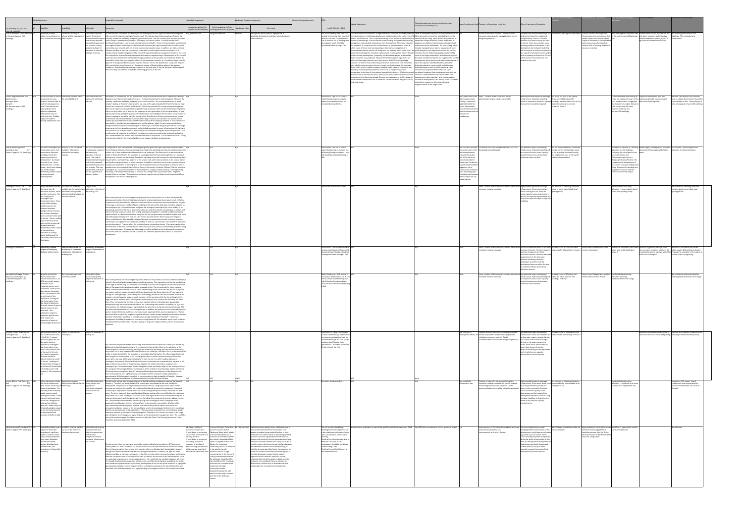|                                                                                                                      | <b>SHLAA Assessment</b><br><b>Sustainability Appraisal</b>                                                                                                                                                                                                                                                                                                                                                                                                                                                                                                      |                                                                                                                                                                                                                                                                                                                                                                                                                                                                                                                                                                                                                                                                                                                                                                                                                                                                                                                                                                                                                                                                                                                                                                                                                                                                                                                                                                                                                                                                                                                                                                                                                                                                                                                                                                                                                                                                                                                                                                                                                                                                                                                                                                                                                 | Landscape Character Assessment<br>Greenbelt Assessment                                                                                                                                                                                                                                                                                                                                                                                                                                                                                                                                                                                                                                                                                                                                                                                                                                                                                               |                 | <b>Historic Settings Assessment</b>                                                                                                                                                                                                                                                                                                                                                                                                                                                                                                                                                                                                                                                                                                                                                                                                                                                                                                                                                                  | Habitat Assessment |                                                                                                                                                                                                                                                                                                                                                                    | Potential coalescence between settlements (see<br>Loss of employment land Transport infrastructure constraints                                                                                                                                                                                                                                                                                                                                                                                                                                                                                                                                                                                                                                                                                                                                                                                                                                                                                                                                                                                                                                                                                                                                                                                                                                                                                                                                                                                                                                                                                                                                                                                                                                                                                                                                                                                                                                                                                                                                                                                                                                                                                                                                                                                                                                                                                                                                                     |                                                                                                                                                                                                                                                                                                                                                                                                                                          |                                                                                                                                                                                                                                                                                                 | Other infrastructure Constraints                                                                                                                                                                                                                                                                                                        |                                                                                                                                                                                                                                                                                                                                                                                                                                    | 13 Consultation                                                                                                                                                                                                        |                                                                                                                                                                                                                                                                                                                                                   | Submission Draft Local Plan                                                                                                                                                                               |                                                                                                                                                                                                          |
|----------------------------------------------------------------------------------------------------------------------|-----------------------------------------------------------------------------------------------------------------------------------------------------------------------------------------------------------------------------------------------------------------------------------------------------------------------------------------------------------------------------------------------------------------------------------------------------------------------------------------------------------------------------------------------------------------|-----------------------------------------------------------------------------------------------------------------------------------------------------------------------------------------------------------------------------------------------------------------------------------------------------------------------------------------------------------------------------------------------------------------------------------------------------------------------------------------------------------------------------------------------------------------------------------------------------------------------------------------------------------------------------------------------------------------------------------------------------------------------------------------------------------------------------------------------------------------------------------------------------------------------------------------------------------------------------------------------------------------------------------------------------------------------------------------------------------------------------------------------------------------------------------------------------------------------------------------------------------------------------------------------------------------------------------------------------------------------------------------------------------------------------------------------------------------------------------------------------------------------------------------------------------------------------------------------------------------------------------------------------------------------------------------------------------------------------------------------------------------------------------------------------------------------------------------------------------------------------------------------------------------------------------------------------------------------------------------------------------------------------------------------------------------------------------------------------------------------------------------------------------------------------------------------------------------|------------------------------------------------------------------------------------------------------------------------------------------------------------------------------------------------------------------------------------------------------------------------------------------------------------------------------------------------------------------------------------------------------------------------------------------------------------------------------------------------------------------------------------------------------------------------------------------------------------------------------------------------------------------------------------------------------------------------------------------------------------------------------------------------------------------------------------------------------------------------------------------------------------------------------------------------------|-----------------|------------------------------------------------------------------------------------------------------------------------------------------------------------------------------------------------------------------------------------------------------------------------------------------------------------------------------------------------------------------------------------------------------------------------------------------------------------------------------------------------------------------------------------------------------------------------------------------------------------------------------------------------------------------------------------------------------------------------------------------------------------------------------------------------------------------------------------------------------------------------------------------------------------------------------------------------------------------------------------------------------|--------------------|--------------------------------------------------------------------------------------------------------------------------------------------------------------------------------------------------------------------------------------------------------------------------------------------------------------------------------------------------------------------|--------------------------------------------------------------------------------------------------------------------------------------------------------------------------------------------------------------------------------------------------------------------------------------------------------------------------------------------------------------------------------------------------------------------------------------------------------------------------------------------------------------------------------------------------------------------------------------------------------------------------------------------------------------------------------------------------------------------------------------------------------------------------------------------------------------------------------------------------------------------------------------------------------------------------------------------------------------------------------------------------------------------------------------------------------------------------------------------------------------------------------------------------------------------------------------------------------------------------------------------------------------------------------------------------------------------------------------------------------------------------------------------------------------------------------------------------------------------------------------------------------------------------------------------------------------------------------------------------------------------------------------------------------------------------------------------------------------------------------------------------------------------------------------------------------------------------------------------------------------------------------------------------------------------------------------------------------------------------------------------------------------------------------------------------------------------------------------------------------------------------------------------------------------------------------------------------------------------------------------------------------------------------------------------------------------------------------------------------------------------------------------------------------------------------------------------------------------------|------------------------------------------------------------------------------------------------------------------------------------------------------------------------------------------------------------------------------------------------------------------------------------------------------------------------------------------------------------------------------------------------------------------------------------------|-------------------------------------------------------------------------------------------------------------------------------------------------------------------------------------------------------------------------------------------------------------------------------------------------|-----------------------------------------------------------------------------------------------------------------------------------------------------------------------------------------------------------------------------------------------------------------------------------------------------------------------------------------|------------------------------------------------------------------------------------------------------------------------------------------------------------------------------------------------------------------------------------------------------------------------------------------------------------------------------------------------------------------------------------------------------------------------------------|------------------------------------------------------------------------------------------------------------------------------------------------------------------------------------------------------------------------|---------------------------------------------------------------------------------------------------------------------------------------------------------------------------------------------------------------------------------------------------------------------------------------------------------------------------------------------------|-----------------------------------------------------------------------------------------------------------------------------------------------------------------------------------------------------------|----------------------------------------------------------------------------------------------------------------------------------------------------------------------------------------------------------|
| Site (including site area and<br>otential capacity)<br>Land at Woodside Farm, Whitnash L14                           | Suitability<br>otentially suitable,                                                                                                                                                                                                                                                                                                                                                                                                                                                                                                                             | Achievable<br>Assessment<br>andowner is willing to<br>Achievable subject to<br>As with the other allocations, the delivery of 280 dwellings will have a significant medium to long term Non green belt land                                                                                                                                                                                                                                                                                                                                                                                                                                                                                                                                                                                                                                                                                                                                                                                                                                                                                                                                                                                                                                                                                                                                                                                                                                                                                                                                                                                                                                                                                                                                                                                                                                                                                                                                                                                                                                                                                                                                                                                                     | Assessment against five<br>Further assessment of land<br>purposes of the Greenbelt   meeting three or less purposes<br>Ion green belt land                                                                                                                                                                                                                                                                                                                                                                                                                                                                                                                                                                                                                                                                                                                                                                                                           | Landscape value | Comments<br>Although this site is partly on high ground, if                                                                                                                                                                                                                                                                                                                                                                                                                                                                                                                                                                                                                                                                                                                                                                                                                                                                                                                                          |                    | Level 1 SFRA April 2013<br>Low risk of flooding from land and                                                                                                                                                                                                                                                                                                      | The small section of woodland is of high biodiversity value and should be protected There is development pressure to expand Sydenham and N/A                                                                                                                                                                                                                                                                                                                                                                                                                                                                                                                                                                                                                                                                                                                                                                                                                                                                                                                                                                                                                                                                                                                                                                                                                                                                                                                                                                                                                                                                                                                                                                                                                                                                                                                                                                                                                                                                                                                                                                                                                                                                                                                                                                                                                                                                                                                       | landscape assessment part 2)                                                                                                                                                                                                                                                                                                                                                                                                             |                                                                                                                                                                                                                                                                                                 | Access issues can be resolved. Impact on wider                                                                                                                                                                                                                                                                                          |                                                                                                                                                                                                                                                                                                                                                                                                                                    | Footpath runs north/south through site. Allocated for Housing and Open Space Increase in traffic and congestion.                                                                                                       |                                                                                                                                                                                                                                                                                                                                                   | Allocated together with other sites Concern about access, in particular, but   Has planning permission for 250                                                                                            |                                                                                                                                                                                                          |
| 11 Hectares (approx. 250                                                                                             | Area of Restraint boundary within 2 years                                                                                                                                                                                                                                                                                                                                                                                                                                                                                                                       | subject to amendment to release land for development market. The scale of<br>effect on the SA objective relating to housing need. This will also have indirect positive effects on the<br>development will require<br>conomy, health and well being and poverty/ social exclusion. The site currently does not have access to<br>contributions towards<br>public transport (despite being close to a GP Surgery and schools (within 1.5 miles) and the B4087<br>mproved infrastructur<br>achbrook Road/Harbury Lane experiences high volumes of traffic. There is the potential for short to lor<br>and services. Existing<br>term negative effects on SA objective 2 (sustainable transport) through increased levels of traffic on the<br>agreement allows for<br>rrounding road network, which is already experiencing capacity issues. In addition, air, light and noise<br>relocation of electricity<br>oollution are likely to increase - particularly in the short term during the construction phases. It is<br>cabling if necessary.<br>onsidered that suitable mitigation will be set out through development management policies in the Loca:<br>Plan and will also be available at the project level to address negative effects. Development of the site wil<br>lead to the loss of Greenfield with long term negative effects on the prudent use of land and there is the<br>potential for minor long term negative effects on the landscape; however, it is considered that a sensitive<br>approach to design would help to avoid negative impacts. There is the potential for a long term negative<br>effect on the historic environment as: there are a number of listed buildings adjacent the western<br>boundary; a Registered park and Garden adjacent to the south part of the site and given the heritage of<br>the surrounding area there is likely to be archaeology present on the site                                                                                                                                                                                                                                                                                               |                                                                                                                                                                                                                                                                                                                                                                                                                                                                                                                                                                                                                                                                                                                                                                                                                                                                                                                                                      |                 | ensitively developed it could be a relatively discree<br>urban extension.                                                                                                                                                                                                                                                                                                                                                                                                                                                                                                                                                                                                                                                                                                                                                                                                                                                                                                                            |                    | reservoir risk from Draycote Water.<br>roundwater which should be<br>considered further during a FRA                                                                                                                                                                                                                                                               | residual risk from partially potential from development, including designation and implementation of a buffer zone of 50 Whitnash south and east into greenfield areas of the<br>metres around the site. This is to prevent damage to the woodland site from direct Whitnash Brook valley, whilst there is also pressure to<br>Low to medium risk of flooding from limpact of root damage, or from indirect issues including changes to site hydrology, lexpand the village of Radford Semele. Both areas of<br>compaction, and increased temperature from development. With mature trees in expansion are likely to lead to the actual or perceived<br>the woodland, it is important that a buffer zone is in place to address health &<br>safety issues of future tree loss impacting on development properties. It is<br>ecommended that the species rich hedgerows are retained with a buffer zone. The public footpaths, has important functions for existing<br>ess biodiverse hedgerows should be replaced with new hedgerow habitat through residents that are likely to be greatly undermined by<br>and around any development, comprising suitable native species, as advised by some of the larger proposals for development adjacent<br>Arden Character area guidelines. Please refer to the hedgerow regulations for<br>advice on their legal protection and requirements within Planning and Legal<br>Context. The mature trees within the parcel should be retained. Each tree should<br>have a buffer zone to protect the tree's roots from development. It is important  landscape character, some specific and distinctive<br>that a buffer zone is in place to address health & safety issues of future tree loss  landscape features and the multi-functional green<br>mpacting on development properties. New areas of tree planting should<br>ompensate for the loss of the scattered trees within the parcel. All planting should considered important that viable agricultural units are<br>be native and sourced locally. Please refer to the section on tree preservation and retained. A commitment to excellence within new<br>rotection within Planning and Legal Context. Any development within this parcel   development is also essential - where some previous<br>would need to consider the area of woodland and have suitable mitigation for any residential development in the locality seems to lack the<br>hedgerow losses. | coalescence of the settlements. The rural setting, which<br>ncludes managed nature reserve areas are well used<br>the valley. Smaller land parcels are suggested for possible<br>evelopment where there would seem to be potential to<br>retain the separate identity of Radford, the wider<br>nfrastructure purposes of the valley. It is again<br>ootential to mature into attractive, desirable<br>neighbourhoods in the longer term. |                                                                                                                                                                                                                                                                                                 | transport network can be managed within current<br>mitigation proposals                                                                                                                                                                                                                                                                 | Underground electricity cable hard<br>along boundary. There is a 225mm<br>diameter foul sewer crossing the west<br>of the site. There are no known sewer<br>flooding problems downstream of this<br>development but hydraulic modelling<br>will be required to confirm the extent<br>any capacity improvement works and to<br>confirm capacity at Grove Farm SPS.sit<br>which drains to the Grove Farm SPS<br>located to the south |                                                                                                                                                                                                                        | infrastructure costs uneconomic. Not<br>needed. Impact on Campion School.<br>Danger of coalescence. Loss of habitat.<br>Access issues. Loss of archaeology.<br>Pollution. Risk of flooding. Additiona<br>pressure on services                                                                                                                     | in the south as part of Masterplan   also about impact on wider highway   dwellings. This is included as a<br>network and the on landscape, loss of commitment.<br>agricultural land and infrastructure   |                                                                                                                                                                                                          |
| Former Ridgeway School and<br>adjoining land,<br>Montague Road,<br>Warwick<br>349 Hectares approx. (80<br>dwellings) | ssessment but since<br>vacated. Potential SINC1<br>south of site adjacent to<br>canal. Potential air and<br>noise pollution from<br>adjacent established<br>employment areas to<br>south and east. Suitable<br>subject to buffer to<br>existing employment are                                                                                                                                                                                                                                                                                                  | ccupied at time of SHLAA Part of site available within Achievable subject to<br>The delivery of 50 dwellings has the potential for a long term positive effect on SA objective 12 through $N/F$<br>period 2013-2018<br>market and land being<br>helping to meet the housing needs of the area. This has the potential for indirect positive effects on the<br>economy, health and well being and poverty and social exclusion. The site has good access to public<br>transport leading to Warwick's Centre with a bus stop within approximately 50 m from the site and local<br>services and community facilities within 1 mile. There is the potential for a short to long term negative<br>effect on SA objective 2 (sustainable transport) through increased traffic and for minor long term positive<br>effects on the prudent use of land and the landscape as the regeneration of the site and delivery of new<br>high quality housing and open space would help to renew and strengthen the character/ sense of place of<br>the area creating an attractive place for people to live. The effects on historic environment and natural<br>nvironment are considered to be uncertain at this stage. However, the allocation has potential local<br>wildlife site adjacent the southern part of the site which could be indirectly affected. It is recommended<br>that a buffer is provided between development and the adjacent pLWS. It is also recommended that<br>strong environmental policies are developed to: encourage sustainable design; to protect and encourage<br>enhancement of the natural environment; and to include provision for green infrastructure. Air, light and<br>noise pollution are likely to increase - particularly in the short term during the construction phases. There<br>ire also potential noise and air pollution from adjacent employment area to east and south and as the<br>site is on Brownfield land there is potential contamination to be present. It is recommended that a surve<br>is carried out to identify the extent of pollution and suggest mitigation as appropriate                                                                                |                                                                                                                                                                                                                                                                                                                                                                                                                                                                                                                                                                                                                                                                                                                                                                                                                                                                                                                                                      |                 |                                                                                                                                                                                                                                                                                                                                                                                                                                                                                                                                                                                                                                                                                                                                                                                                                                                                                                                                                                                                      |                    | ood zone 1. High risk of surface<br>water flooding, opportunities to<br>improve the situation should be<br>considered during the FRA                                                                                                                                                                                                                               |                                                                                                                                                                                                                                                                                                                                                                                                                                                                                                                                                                                                                                                                                                                                                                                                                                                                                                                                                                                                                                                                                                                                                                                                                                                                                                                                                                                                                                                                                                                                                                                                                                                                                                                                                                                                                                                                                                                                                                                                                                                                                                                                                                                                                                                                                                                                                                                                                                                                    |                                                                                                                                                                                                                                                                                                                                                                                                                                          | site includes a depot<br>building. However in<br>September 2012 the<br>owner informed the<br>ouncil of their desire<br>retain the depot and r<br>elease it for<br>development                                                                                                                   | The eastern part of the None. Location within urban area means<br>rnatives transport modes are possible                                                                                                                                                                                                                                 | infrastructure. Hydraulic modelling SHLAA site (3.49 hectares/80<br>mprovements would be required. sites in the urban area to come                                                                                                                                                                                                                                                                                                 | dedium potential impact on sewerage The larger site area of the original<br>would be required to confirm if capacity dwellings) was allocated as one of four<br>orward in Phase 1                                      | for allocation at a higher density to<br>take into account the urban<br>location of the site (1.8<br>hectares/72 dwellings)                                                                                                                                                                                                                       | Due to landowner now wishing to In general development here was<br>retain the employment part of the supported although concerns raised<br>site, a reduced area is suggested about loss of playing fields | ncluded. The adjacent site (currently<br>used as a depot by the County Council) i<br>now available as well. This would give a<br>total site capacity of up to 100 dwellings                              |
| Land at Station Approach,<br>Leamington Spa. 4.47                                                                    | Conservation Area. Part available. Alternative<br>part Opportunity Site<br>supporting mixed use<br>development. Bus Depot<br>currently in use. Some<br>protected trees. Limited<br>access. Noise from railway<br>line and bus depot.<br>Potentially suitable subjer<br>to comprehensive<br>redevelopment.                                                                                                                                                                                                                                                       | The site is understood to It is expected to have similar effects (albeit slightly greater given the large size) to the allocation at the<br>Site abuts Leamington Spa Majority of site vacant and<br>be achievable, subject to Former Ridgway School on: housing; employment; health and well being; poverty and social exclusion; the<br>Hectares (approx. 220 Dwellings) employment allocation, location for bus depot the market and prudent use of land; and the natural environment and landscape. The effects on air, water and soil are<br>similar to those identified for the allocation at Leamington Spa Fire Station although there is a potential<br>required<br>relocation of the bus<br>depot. The scale of<br>existing noise source from the railway. The effects regarding travel and transport are positive as the site is<br>development will require situated within Leamington Spa adjacent to the railway track and in close proximity to the railway station<br>contributions towards<br>and therefore has good access to public transport. In addition, the effects on crime are more certain and<br>mproved infrastructure<br>considered to be positive in the long-term as the development also has the potential to improve what is<br>and services. This may<br>considered a crime hotspot (Warwick District Council, Community Protection Officers). The site abuts the<br>require third party land Leamington Spa Conservation so there is the potential for a negative effect; however, careful planning<br>and design of development could help to enhance the setting of the Conservation with a long term<br>and the agreement of<br>statutory bodies.<br>positive effect on heritage. There are some protected trees on site and these should be protected from<br>levelopment and retained where possible                                                                                                                                                                                                                                                                                                                                                                    |                                                                                                                                                                                                                                                                                                                                                                                                                                                                                                                                                                                                                                                                                                                                                                                                                                                                                                                                                      |                 |                                                                                                                                                                                                                                                                                                                                                                                                                                                                                                                                                                                                                                                                                                                                                                                                                                                                                                                                                                                                      |                    | lood Zone 1. Low risk of surface<br>water flooding. Low to medium risk<br>of flooding from groundwater - loca<br>isk should be considered during a                                                                                                                                                                                                                 |                                                                                                                                                                                                                                                                                                                                                                                                                                                                                                                                                                                                                                                                                                                                                                                                                                                                                                                                                                                                                                                                                                                                                                                                                                                                                                                                                                                                                                                                                                                                                                                                                                                                                                                                                                                                                                                                                                                                                                                                                                                                                                                                                                                                                                                                                                                                                                                                                                                                    |                                                                                                                                                                                                                                                                                                                                                                                                                                          | site for employment<br>uses and the eastern<br>part of the site as an<br>Opportunity Site for<br>mixed uses. The Station<br>Area Development Brie<br>suggests a mix of<br>business and residentia<br>uses, depending upor<br>he relationship betwe<br>the bus depot and any<br>residential use. | The Local Plan allocates Current access issues could be resolved if the site is Low potential impact on sewerage<br>the western part of the developed comprehensively                                                                                                                                                                   | be required to assess sewer capacity on the proposals for mixed housing<br>combined sewer overflow.                                                                                                                                                                                                                                                                                                                                | The site was included as a committed<br>infrastructure. Hydraulic modelling will housing site for 150 dwellings based<br>and performance on a downstream and employment uses in the Station<br>Area Development Brief. | allocation for 220 dwellings.<br>Following the sale of parts of the depot<br>site to the Homes and<br>Communities Agency and a<br>Registered Housing Provider, the<br>omprehensive development of<br>the site for housing is looking more<br>likely. The Council is working with<br>Stagecoach to assist with the<br>relocation of the Bus Depot. | he site was included as a housing Mixed support and objections. Concern Site included. Work progressed on<br>about loss of the car park and the bus relocation of existing bus depot                      |                                                                                                                                                                                                          |
| Leamington Cricket Club. 3.19<br>Hectares (approx. 70 Dwellings)                                                     | the loss of sport &<br>site is adjacent to<br>Leamington Spa<br>Conservation Area. There<br>are localised flooding<br>problems across the<br>northern boundary.<br>Lillington Brook traverses<br>this northern boundary<br>and is culverted under par<br>of the site. There is a filled<br>pond on the line of the<br>culvert which is potentia<br>contaminated land.<br>Potentially suitable subjer<br>to the satisfactory<br>relocation of existing<br>sports facilities and the<br>satisfactory attenuation of<br>flood water                                | Policy restrictions include The site is not currently Subject to the<br>available but the owners have satisfactory relocation o<br>recreation facilities, which indicated a willingness to the existing club<br>are still in active use. The relocate should a suitable site<br>ecome available<br>There is the potential for minor long term negative effects on the prudent use of land, health and the<br>landscape as the site is Greenfield land surrounded by existing development and would result in the loss<br>of sports and recreational facility. Potential effects on historic environment are considered to be negative<br>at this stage as there are a number of listed buildings to the west of the allocation; the site is adjacent to<br>the Leamington Spa Conservation Area; and given the heritage of Leamington Spa, there is likely to be<br>irchaeology present on the site. It is recommended that Local Plan policies are developed to protect and<br>enhance heritage assets, including their setting, and require mitigation is available to address potential<br>negative effects. In relation to travel and transport, the site has good access to public transport with a bus<br>stop within approximately 50 m from the site. There is the potential for short to long term negative<br>effects on SA objective 2 (sustainable transport) through increased levels of traffic on the surrounding<br>road network. Air, light and noise pollution are likely to increase - particularly in the short term during the<br>construction phases. This may affect the residential areas surrounding the site. There also may be some<br>contamination in the filled pond on the site. There have also been some localised flooding problems alon<br>the northern boundary. It is expected that mitigation will be available at the development management<br>level to deal with any additional run-off caused by the additional impermeable surfaces as a result of<br>development                                                                                                                                                                                                    |                                                                                                                                                                                                                                                                                                                                                                                                                                                                                                                                                                                                                                                                                                                                                                                                                                                                                                                                                      |                 |                                                                                                                                                                                                                                                                                                                                                                                                                                                                                                                                                                                                                                                                                                                                                                                                                                                                                                                                                                                                      |                    | Not located in flood zones 2 or 3                                                                                                                                                                                                                                                                                                                                  |                                                                                                                                                                                                                                                                                                                                                                                                                                                                                                                                                                                                                                                                                                                                                                                                                                                                                                                                                                                                                                                                                                                                                                                                                                                                                                                                                                                                                                                                                                                                                                                                                                                                                                                                                                                                                                                                                                                                                                                                                                                                                                                                                                                                                                                                                                                                                                                                                                                                    |                                                                                                                                                                                                                                                                                                                                                                                                                                          | None                                                                                                                                                                                                                                                                                            | None. Location within urban area means alternatives High potential impact on sewerage Not included as a housing allocation -<br>transport modes are possible                                                                                                                                                                            | nfrastructure. There is a combined<br>sewer crossing the site. There are<br>known capacity issues downstream of<br>the site and capacity improvements are<br>likely to be required subject to hydrauli                                                                                                                                                                                                                             | concerns about loss of viable local<br>sporting facility                                                                                                                                                               | Not included as a housing<br>allocation - concerns about loss o<br>viable local sporting facility                                                                                                                                                                                                                                                 |                                                                                                                                                                                                           | Not included as a housing allocation -<br>concerns about loss of viable local<br>sporting facility                                                                                                       |
| Leamington Fire Station                                                                                              | Potentially suitable<br>subject to satisfying                                                                                                                                                                                                                                                                                                                                                                                                                                                                                                                   | Potentially achievable<br>Site currently in use so<br>subject to relocation of<br>ailability is subject to<br>highway safety issues satisfactory relocation of existing use.<br>isting use.                                                                                                                                                                                                                                                                                                                                                                                                                                                                                                                                                                                                                                                                                                                                                                                                                                                                                                                                                                                                                                                                                                                                                                                                                                                                                                                                                                                                                                                                                                                                                                                                                                                                                                                                                                                                                                                                                                                                                                                                                     |                                                                                                                                                                                                                                                                                                                                                                                                                                                                                                                                                                                                                                                                                                                                                                                                                                                                                                                                                      |                 |                                                                                                                                                                                                                                                                                                                                                                                                                                                                                                                                                                                                                                                                                                                                                                                                                                                                                                                                                                                                      |                    | Flood zone 1. Low to medium risk of<br>surface water flooding. Medium risk<br>of ground water flooding- should be<br>investigated further through a FRA.                                                                                                                                                                                                           |                                                                                                                                                                                                                                                                                                                                                                                                                                                                                                                                                                                                                                                                                                                                                                                                                                                                                                                                                                                                                                                                                                                                                                                                                                                                                                                                                                                                                                                                                                                                                                                                                                                                                                                                                                                                                                                                                                                                                                                                                                                                                                                                                                                                                                                                                                                                                                                                                                                                    |                                                                                                                                                                                                                                                                                                                                                                                                                                          |                                                                                                                                                                                                                                                                                                 | None. Location within urban area means alternatives There are combined sewers to the west lincluded as one of four sites within concern about need to ensure fore<br>transport modes are possible                                                                                                                                       | upstream of phase 1 of a flood<br>alleviation scheme, which has alleviate<br>capacity issues in the local area.<br>Hydraulic modelling should be<br>undertaken to confirm that the<br>development does not affect the leve<br>of protection offered by the flood<br>alleviation scheme.                                                                                                                                            | and east of the site. The site is located urban area for 50 dwellings in phase 1 service is maintained                                                                                                                 | urban area for 60 dwellings in                                                                                                                                                                                                                                                                                                                    | Included as one of four sites within generally supported, although some Included as one of four sites within<br>station for Leamington                                                                    | concern about impact on parking in the urban area for 60 dwellings in phase 2<br>area and the need to maintain a local fire Proposals for relocation of fire station to<br>southern sites is progressing |
| Warwickshire College, Warwick L36<br>New Road, Leamington Spa.<br>5.78 Hectares (approx. 300                         | No policy restrictions.<br>Physical constraints<br>include Flood Zones 2, 3<br>& 3B along south eastern<br>perimeter of site.<br>Protected trees in north<br>east corner. Railway runs<br>along western boundary.<br>er Leam potential SIM<br>o south east of site.<br>Adjacent to Leamington<br>Spa Conservation Area.<br>Spa Gardens Registered<br>Park and Garden of Specia<br>Historic Interest to the<br>south east. Site<br>satisfactory subject to<br>mitigation against noise<br>from railway and<br>protection of assets of<br>acknowledged importance | Site currently in use - not Achievable in latter<br>rently available<br>phase of plan period<br>subject to relocation of<br>There is the potential for minor long term positive effects on the prudent use of land and the landscape as<br>existing use.<br>he site is Brownfield land with existing poor quality structures. The regeneration of the site and delivery<br>of new high quality housing and open space would help to renew and strengthen the character/ sense of<br>place of the area creating an attractive place for people to live. There is potential for minor negative<br>effects on historic environment as: there is one listed building to the east of the site; the site is adjacent<br>to a register park and garden; the site is within the Leamington Spa Conservation Area <sup>11</sup> ; and given the<br>heritage of Leamington Spa, there is likely to be archaeology present on the site. In relation to travel and<br>transport, the site has good access to public transport with a bus stop within the site, although at this<br>stage, little detail is known about existing traffic and transport issues and how the allocation will affect<br>them. There is the potential for short to long term negative effects on SA objective 2 (sustainable<br>transport) through increased levels of traffic on the surrounding road network. In addition, ar, light and<br>noise pollution are likely to increase - particularly in the short term during the construction phases. This<br>may affect the residential areas surrounding the site. In addition, the presence of the railway adjacent the<br>western border of the site could mean that noise could negatively affect any new development. There is<br>the potential for a significant long term negative effect on climate change adaptation as the south eastern<br>perimeter of the site is identified as having medium to high probability of flooding <sup>21</sup> . Residential<br>development should be directed away from areas of high flood risk. The allocation would result in the loss<br>of employment land and land for education leading to long-term negative effects unless it is re-provided |                                                                                                                                                                                                                                                                                                                                                                                                                                                                                                                                                                                                                                                                                                                                                                                                                                                                                                                                                      |                 |                                                                                                                                                                                                                                                                                                                                                                                                                                                                                                                                                                                                                                                                                                                                                                                                                                                                                                                                                                                                      |                    | Mainly flood zone 1 with southern N<br>boundary in flood zones 2 and 3. Lov<br>risk of surface water flooding. Low<br>risk of flooding from groundwater -<br>local risk should be considered durir                                                                                                                                                                 |                                                                                                                                                                                                                                                                                                                                                                                                                                                                                                                                                                                                                                                                                                                                                                                                                                                                                                                                                                                                                                                                                                                                                                                                                                                                                                                                                                                                                                                                                                                                                                                                                                                                                                                                                                                                                                                                                                                                                                                                                                                                                                                                                                                                                                                                                                                                                                                                                                                                    |                                                                                                                                                                                                                                                                                                                                                                                                                                          |                                                                                                                                                                                                                                                                                                 | None. Location within urban area means alternatives Low potential impact on sewerage  Included as one of 4 housing sites<br>transport modes are possible                                                                                                                                                                                | infrastructure. Hydraulic modelling will within the urban area (for 300<br>be required to assess sewer capacity dwellings) in Phase 3<br>and performance on a downstream<br>combined sewer overflow.                                                                                                                                                                                                                               |                                                                                                                                                                                                                        | Concern from College that relocation Not included as a housing<br>unlikely within the Plan Period<br>allocation following<br>presentations from College                                                                                                                                                                                           |                                                                                                                                                                                                           | Not included as a housing allocation<br>following representations from College                                                                                                                           |
| Riverside House, Milverton Hill,<br>Leamington Spa. 1.75<br>Hectares (approx. 50 Dwellings)                          | site is within Flood Zones existing use<br>2, 3A & 3B. Protected<br>trees throughout the site.<br>Site partly within or<br>adjacent to Leamington<br>Spa Conservation Area.<br>River Leam potential SINC<br>to the south of the site.<br>Spa Gardens Registered<br>Park and Garden of<br>Historic Interest to south<br>of the site. Buildings on<br>Portland Place frontage to<br>east of site all Listed Grade<br>II. Suitable in part (1.08<br>hectares). Site currently in                                                                                   | Approximately 38% of the Subject to relocation of<br>Subject to relocation of<br>existing use<br>The allocation will provide land for 60 dwellings on brownfield land to meet the current (and potentially<br>additional) residential needs in the area. It is expected to have similar effects to the allocation at the<br>Former Ridgeway School on: housing; employment; health and well being; poverty and social exclusion;<br>the prudent use of land; and the natural environment and landscape. The effects on air, water and soil are<br>similar to those identified for the allocation at Leamington Spa Fire Station. The effects regarding travel<br>and transport are more positive as the site has good access to public transport leading to Warwick's<br>Centre with a bus stop within approximately 50 m from the site. It is within walking distance of<br>Leamington Town centre. Potential effects on historic environment are considered to be negative at this<br>stage as there are a number of listed buildings adjacent the western boundary; is adjacent the<br>Leamington Spa Conservation Area; there is a Registered park and Garden adjacent the south part of the<br>site; and given the heritage of the surrounding area, there is likely to be archaeology present on the site.<br>All these assets are likely to be directly/ indirectly affected by the development of the allocation site.<br>There is the potential for a significant long term negative effect on climate change adaptation as<br>approximately 38% of the site is identified as having medium to high probability of flooding. However,<br>area proposed for residential development does not include the flood risk area                                                                                                                                                                                                                                                                                                                                                                                                                                                                                |                                                                                                                                                                                                                                                                                                                                                                                                                                                                                                                                                                                                                                                                                                                                                                                                                                                                                                                                                      |                 |                                                                                                                                                                                                                                                                                                                                                                                                                                                                                                                                                                                                                                                                                                                                                                                                                                                                                                                                                                                                      |                    | lood zones 1, 2 and 3. High risk of<br>surface water flooding - opportunitie<br>to improve the situation should be<br>considered through the FRA. Low to<br>medium risk of flooding from<br>groundwater - should be considered<br>further through the FRA.                                                                                                         |                                                                                                                                                                                                                                                                                                                                                                                                                                                                                                                                                                                                                                                                                                                                                                                                                                                                                                                                                                                                                                                                                                                                                                                                                                                                                                                                                                                                                                                                                                                                                                                                                                                                                                                                                                                                                                                                                                                                                                                                                                                                                                                                                                                                                                                                                                                                                                                                                                                                    |                                                                                                                                                                                                                                                                                                                                                                                                                                          | Site currently in                                                                                                                                                                                                                                                                               | ocation within urban means alternatives transport Low potential impact on sewerage lincluded as one of 4 sites within the<br>employment (office) use. modes are possible. No specific strategic traffic<br>mitigation measures required. Can be<br>accommodated with the wider mitigation proposals. The surface water sewer discharges | infrastructure. There are combined and urban area for 50 dwellings in Phase 3<br>surface water sewers crossing the site.<br>directly to the watercourse to the<br>south. There are no known capacity<br>issues downstream of the site.<br>Hydraulic modelling will be required to<br>confirm whether any capacity<br>improvements will be required.                                                                                |                                                                                                                                                                                                                        |                                                                                                                                                                                                                                                                                                                                                   | about loss of Council offices and parking   following a detailed feasibility study                                                                                                                        | Generally supported although concern   Included, with capacity increased to 100                                                                                                                          |
| ormer IBM car Park (Opus 40<br>Hectares (approx. 100 dwellings)                                                      | olicy restrictions include   Owner had expressed^<br>land. Access would require for housing<br>further investigation. The<br>proximity to the cemetery<br>would require ground<br>investigation works. There<br>are some protected tree:<br>on the site. Mitigation of<br>noise and air pollution<br>from A46 - buffer required.<br>Potentially suitable subject<br>to site not being required<br>for employment and<br>provision of buffer to A46                                                                                                              | Achievable subject to a<br>The site is a former car park situated adjacent to the A46, existing employment uses and the Warwick [N]<br>the loss of employment willingness to release the site strong market and<br>Cemetery. The site is not being allocated for housing as it is considered to be more suitable for<br>employment. The provision of employment at this site will have a long term positive effect on the<br>appropriate<br>contributions towards<br>economy and reducing the need for the residents of Kenilworth to travel for employment. Improved<br>infrastructure and<br>-ccessibility to employment opportunities will also have long term positive effects on health and well<br>being. The site is previously developed land so will have a positive effect on the SA objective relating to<br>services<br>the prudent use of land. The key sustainability issues with regard to this site are the potential impacts of<br>noise and atmospheric pollution generated from the A46 and the presence of cemetery adjacent to the<br>site. The proximity to the cemetery would require ground investigation works and project level<br>assessments would ensure that any adverse effects on the cemetery are avoided. A buffer will be<br>required between the development and A46 to minimise the potential impacts from noise and<br>atmospheric pollution. Access to the site would also need to be investigated further but it is considered<br>that this can be addressed at the project level. There are some protected trees on the site that would<br>need to be retained and protected from development. The effects on Crime are uncertain at this stage<br>and will depend on the design and layout finalised at the development management level. The Local Plan<br>policy that considers design should take account of the Safer Places: The Planning System and Crime<br>Prevention Guidance (September 2004                                                                                                                                                                                                                                                                |                                                                                                                                                                                                                                                                                                                                                                                                                                                                                                                                                                                                                                                                                                                                                                                                                                                                                                                                                      |                 |                                                                                                                                                                                                                                                                                                                                                                                                                                                                                                                                                                                                                                                                                                                                                                                                                                                                                                                                                                                                      |                    | Vot within flood zones 2 or 3                                                                                                                                                                                                                                                                                                                                      |                                                                                                                                                                                                                                                                                                                                                                                                                                                                                                                                                                                                                                                                                                                                                                                                                                                                                                                                                                                                                                                                                                                                                                                                                                                                                                                                                                                                                                                                                                                                                                                                                                                                                                                                                                                                                                                                                                                                                                                                                                                                                                                                                                                                                                                                                                                                                                                                                                                                    |                                                                                                                                                                                                                                                                                                                                                                                                                                          | Yes, suitable for<br>employment uses                                                                                                                                                                                                                                                            | cation at edge of urban means alternatives<br>sport modes are possible. No specific strategic<br>traffic mitigation measures required. Can be<br>ccommodated with the wider mitigation proposals. sewer to the south west of the site.                                                                                                  | infrastructure. A foul sewer would need considered to be more suitable as an<br>to be requisitioned to join the foul employment site<br>There are known capacity issues<br>downstream and the impact of the<br>development should be assessed using<br>hydraulic modelling to determine the<br>extent of any required capacity<br>mprovements.                                                                                     | High potential impact on sewerage Not included as a housing allocation -                                                                                                                                               | Vot included as a housing<br>allocation - considered to be more<br>suitable as an employment site                                                                                                                                                                                                                                                 |                                                                                                                                                                                                           | ncluded for 107 houses - loss of<br>employment land compensated by<br>provision in Kenilworth and south of                                                                                               |
| ilasshouse Lane/Crewe Lane 37.3 K18<br>Hectares (approx. 650 Dwellings)                                              | subject to Green Belt<br>amendment; significant developers/promoters<br>buffer to contain surface<br>water, protect properties<br>from noise, Scheduled<br>Ancient Monument,<br>Ancient Woodland and<br>potential LWS; and<br>amendment to Green Belt<br>boundary.                                                                                                                                                                                                                                                                                              | Potentially suitable in part, Available – the site is still in   Achievable with a strong<br>use but in the control of a housing market and<br>subject to appropriate<br>contributions<br>being made towards<br>improving infrastructur<br>and services<br>The site currently does not have access to public transport (despite being close to a GP Surgery and<br>schools (within 1.5 miles) and there are also issues with access to and from the site in term of visibility.<br>There is the potential for short to long term negative effects on SA objective 2 (sustainable transport)<br>through increased levels of traffic on the surrounding road network. In addition, ar, light and noise<br>pollution are likely to increase - particularly in the short term during the construction phases and this may<br>affect the residential areas to the west of the site. In addition, the presence of the A46 to the east could<br>be a potential nuisance source for new development. It is considered that suitable mitigation will be set<br>out through development management policies in the Local Plan and will also be available at the project<br>level to address negative effects. Furthermore, development of the site will result in the loss of high grad<br>agricultural land leading to minor negative effects on soil and would lead to the loss of Greenfield and<br>Green Belt Land with the potential for a significant long term negative effect on the prudent use of land.                                                                                                                                                                                                                                                                                                                                                                                                                                                                                                                                                                                                                                                                                                         | 1 - Meets 3 of the 5<br>urposes of Green Belt:<br>parcel K4 contains part of<br>contributes to preventing Glasshouse Wood which is both<br>sprawl from Kenilworth in an an Ancient Woodland and a<br>asterly direction<br>cheduled Ancient Monument it<br>contributes to preserving also borders Stoneleigh Abbey<br>which is a Registered Park and<br>he setting and special<br>haracter of Kenilworth<br>Garden. For secondary<br>Retention of green belt land<br>constraints parcel K4 is bordered<br>will encourage recycling of<br>to the east by the A46.<br>derelict and other urban land. Parcel K4 contains a large<br>commercial use in the form of a<br>training and conference centre.<br>The landscape study identifies<br>that the A46 corridor creates an<br>enclosure and a notable visible<br>break from the wider<br>countryside, further<br>development along the A46<br>would not have major impacts<br>upon the wider landscape |                 | n terms of Primary Constraints,  K4 – 1 (Low Value)  Glasshouse Lane presently forms a definitive edge to<br>the east side of Kenilworth at this location and<br>appears to enable the agricultural landuse to have<br>continued in K4 without obvious urban fringe conflicts<br>lowever it could be argued that the A46 road has<br>already undermined the historic landscape continuity<br>between Kenilworth and the Avon valley and that it is<br>the A46 corridor that forms the real interface betwee<br>the settlement and the rural landscape setting. It<br>might be demonstrated that further development up<br>to the A46 corridor would not have major impacts to<br>the wider landscape context. Existing mature<br>egetation would allow this area to be visually<br>ontained whilst sensitive design could extend this<br>enclosure. It is considered that area K4 could be<br>identified for a further level of detailed study and<br>consideration for removal from the Green Belt. |                    | The site is within Flood Zone 1<br>Flooding from Land is deemed Low -<br>a few small areas indicated as being<br>'less' susceptible to surface water<br>flooding.<br>Flooding from Groundwater - Low to<br>Medium - The local risk of<br>groundwater should be considered<br>further during a FRA.<br>Flooding from Artificial Sources is<br>considered to be low. | No assessment undertaken as part of Warwick District Habitat Assessment 2008. ISee JGBS (site not assessed in further landscape study). In/a                                                                                                                                                                                                                                                                                                                                                                                                                                                                                                                                                                                                                                                                                                                                                                                                                                                                                                                                                                                                                                                                                                                                                                                                                                                                                                                                                                                                                                                                                                                                                                                                                                                                                                                                                                                                                                                                                                                                                                                                                                                                                                                                                                                                                                                                                                                       |                                                                                                                                                                                                                                                                                                                                                                                                                                          |                                                                                                                                                                                                                                                                                                 | Improvements to Thickthorn Roundabout - with new There are isolated known sewer<br>access of island and into site<br>Improvements to St John's Gyratory                                                                                                                                                                                 | flooding problems downstream of this but not allocated<br>development, which have recently been<br>appraised as part of Severn Trent's<br>sewer flooding investment programme.<br>No further action is being taken at this<br>time, but the impact of development or<br>these properties should be assessed.<br>Further hydraulic analysis will be<br>equired to assess the impact of this<br>development on sewer capacity.       |                                                                                                                                                                                                                        | Identified as a potentially suitable site Representations from developers with Identified as a potentially suitable<br>control of land to suggest that it<br>site but not allocated<br>should be removed from the Green<br>Belt and allocated in the Plan or at the<br>very least, safeguarded.                                                   |                                                                                                                                                                                                           | Not allocated                                                                                                                                                                                            |